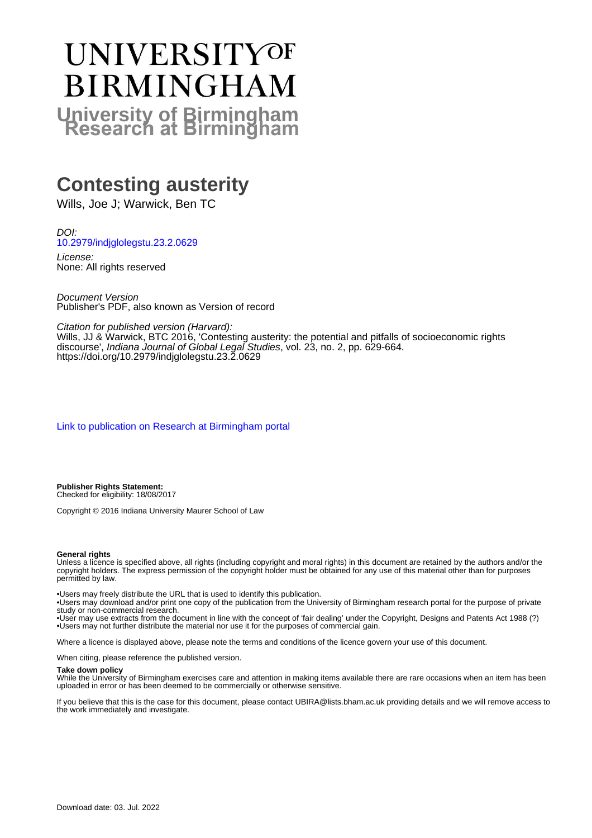# UNIVERSITYOF **BIRMINGHAM University of Birmingham**

### **Contesting austerity**

Wills, Joe J; Warwick, Ben TC

DOI: [10.2979/indjglolegstu.23.2.0629](https://doi.org/10.2979/indjglolegstu.23.2.0629)

License: None: All rights reserved

Document Version Publisher's PDF, also known as Version of record

Citation for published version (Harvard):

Wills, JJ & Warwick, BTC 2016, 'Contesting austerity: the potential and pitfalls of socioeconomic rights discourse', Indiana Journal of Global Legal Studies, vol. 23, no. 2, pp. 629-664. <https://doi.org/10.2979/indjglolegstu.23.2.0629>

[Link to publication on Research at Birmingham portal](https://birmingham.elsevierpure.com/en/publications/3cf60368-b244-4a0b-96f3-2bf8e1bbc9e3)

**Publisher Rights Statement:** Checked for eligibility: 18/08/2017

Copyright © 2016 Indiana University Maurer School of Law

#### **General rights**

Unless a licence is specified above, all rights (including copyright and moral rights) in this document are retained by the authors and/or the copyright holders. The express permission of the copyright holder must be obtained for any use of this material other than for purposes permitted by law.

• Users may freely distribute the URL that is used to identify this publication.

• Users may download and/or print one copy of the publication from the University of Birmingham research portal for the purpose of private study or non-commercial research.

• User may use extracts from the document in line with the concept of 'fair dealing' under the Copyright, Designs and Patents Act 1988 (?) • Users may not further distribute the material nor use it for the purposes of commercial gain.

Where a licence is displayed above, please note the terms and conditions of the licence govern your use of this document.

When citing, please reference the published version.

#### **Take down policy**

While the University of Birmingham exercises care and attention in making items available there are rare occasions when an item has been uploaded in error or has been deemed to be commercially or otherwise sensitive.

If you believe that this is the case for this document, please contact UBIRA@lists.bham.ac.uk providing details and we will remove access to the work immediately and investigate.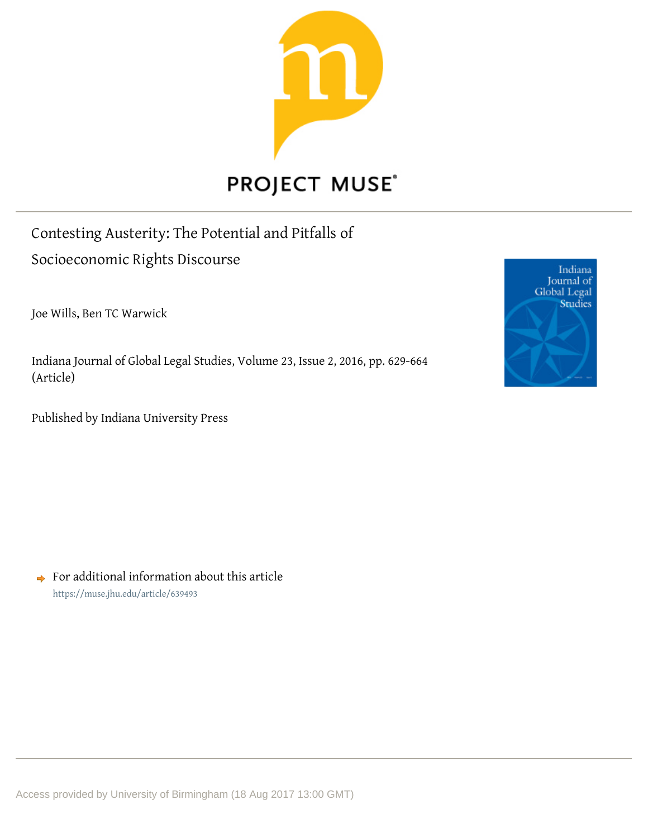

## **PROJECT MUSE®**

Contesting Austerity: The Potential and Pitfalls of Socioeconomic Rights Discourse

Joe Wills, Ben TC Warwick

Indiana Journal of Global Legal Studies, Volume 23, Issue 2, 2016, pp. 629-664 (Article)

Published by Indiana University Press



 $\rightarrow$  For additional information about this article <https://muse.jhu.edu/article/639493>

Access provided by University of Birmingham (18 Aug 2017 13:00 GMT)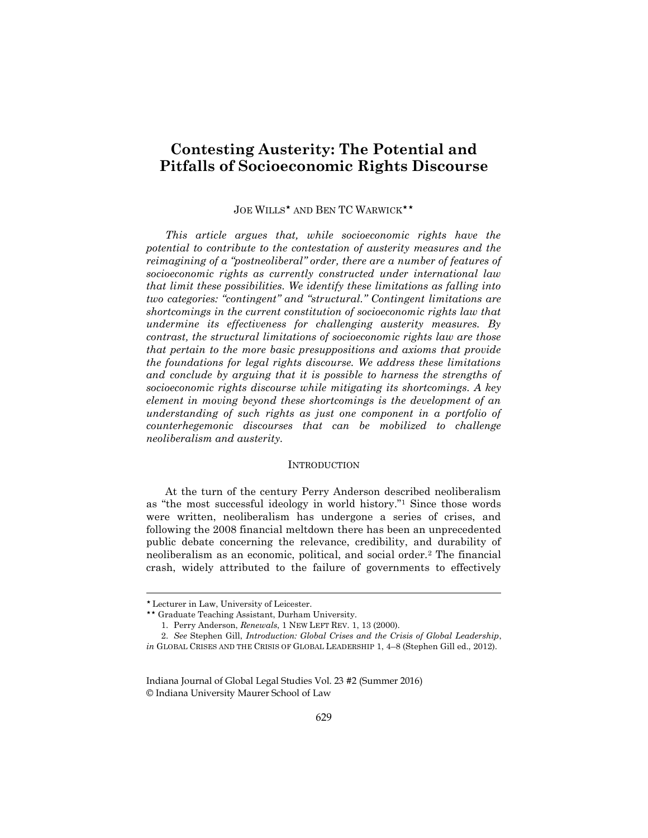### **Contesting Austerity: The Potential and Pitfalls of Socioeconomic Rights Discourse**

#### JOE WILLS\* AND BEN TC WARWICK\*\*

*This article argues that, while socioeconomic rights have the potential to contribute to the contestation of austerity measures and the reimagining of a "postneoliberal" order, there are a number of features of socioeconomic rights as currently constructed under international law that limit these possibilities. We identify these limitations as falling into two categories: "contingent" and "structural." Contingent limitations are shortcomings in the current constitution of socioeconomic rights law that undermine its effectiveness for challenging austerity measures. By contrast, the structural limitations of socioeconomic rights law are those that pertain to the more basic presuppositions and axioms that provide the foundations for legal rights discourse. We address these limitations and conclude by arguing that it is possible to harness the strengths of socioeconomic rights discourse while mitigating its shortcomings. A key element in moving beyond these shortcomings is the development of an understanding of such rights as just one component in a portfolio of counterhegemonic discourses that can be mobilized to challenge neoliberalism and austerity.*

#### **INTRODUCTION**

At the turn of the century Perry Anderson described neoliberalism as "the most successful ideology in world history."<sup>1</sup> Since those words were written, neoliberalism has undergone a series of crises, and following the 2008 financial meltdown there has been an unprecedented public debate concerning the relevance, credibility, and durability of neoliberalism as an economic, political, and social order.<sup>2</sup> The financial crash, widely attributed to the failure of governments to effectively

Lecturer in Law, University of Leicester.

Graduate Teaching Assistant, Durham University.

<sup>1.</sup> Perry Anderson, *Renewals*, 1 NEW LEFT REV. 1, 13 (2000).

<sup>2.</sup> *See* Stephen Gill, *Introduction: Global Crises and the Crisis of Global Leadership*, *in* GLOBAL CRISES AND THE CRISIS OF GLOBAL LEADERSHIP 1, 4–8 (Stephen Gill ed., 2012).

Indiana Journal of Global Legal Studies Vol. 23 #2 (Summer 2016) © Indiana University Maurer School of Law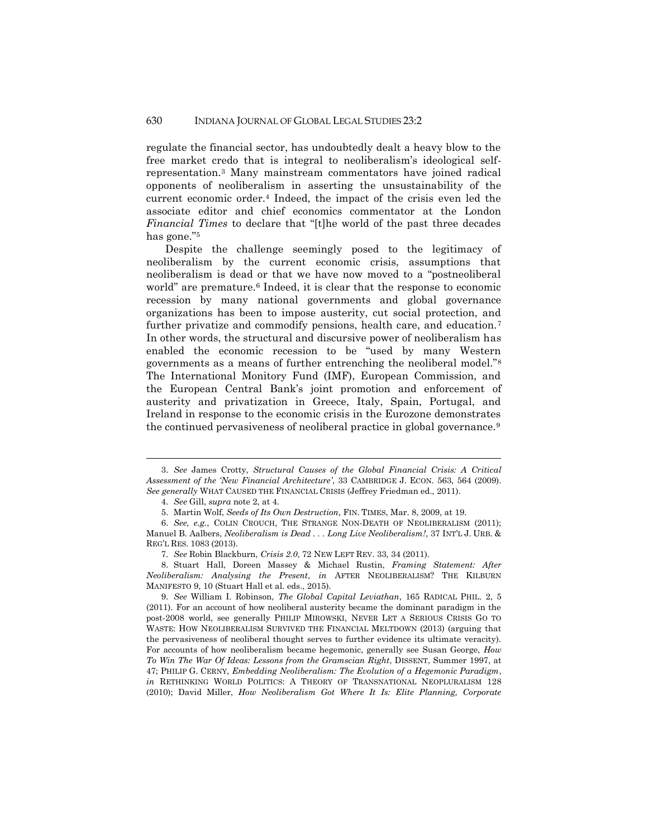regulate the financial sector, has undoubtedly dealt a heavy blow to the free market credo that is integral to neoliberalism's ideological selfrepresentation.<sup>3</sup> Many mainstream commentators have joined radical opponents of neoliberalism in asserting the unsustainability of the current economic order.<sup>4</sup> Indeed, the impact of the crisis even led the associate editor and chief economics commentator at the London *Financial Times* to declare that "[t]he world of the past three decades has gone."<sup>5</sup>

Despite the challenge seemingly posed to the legitimacy of neoliberalism by the current economic crisis, assumptions that neoliberalism is dead or that we have now moved to a "postneoliberal world" are premature.<sup>6</sup> Indeed, it is clear that the response to economic recession by many national governments and global governance organizations has been to impose austerity, cut social protection, and further privatize and commodify pensions, health care, and education.<sup>7</sup> In other words, the structural and discursive power of neoliberalism has enabled the economic recession to be "used by many Western governments as a means of further entrenching the neoliberal model."<sup>8</sup> The International Monitory Fund (IMF), European Commission, and the European Central Bank's joint promotion and enforcement of austerity and privatization in Greece, Italy, Spain, Portugal, and Ireland in response to the economic crisis in the Eurozone demonstrates the continued pervasiveness of neoliberal practice in global governance.<sup>9</sup>

<sup>3.</sup> *See* James Crotty, *Structural Causes of the Global Financial Crisis: A Critical Assessment of the 'New Financial Architecture'*, 33 CAMBRIDGE J. ECON. 563, 564 (2009). *See generally* WHAT CAUSED THE FINANCIAL CRISIS (Jeffrey Friedman ed., 2011).

<sup>4.</sup> *See* Gill, *supra* note 2, at 4.

<sup>5.</sup> Martin Wolf, *Seeds of Its Own Destruction*, FIN. TIMES, Mar. 8, 2009, at 19.

<sup>6.</sup> *See, e.g.*, COLIN CROUCH, THE STRANGE NON-DEATH OF NEOLIBERALISM (2011); Manuel B. Aalbers, *Neoliberalism is Dead . . . Long Live Neoliberalism!*, 37 INT'L J. URB. & REG'L RES. 1083 (2013).

<sup>7.</sup> *See* Robin Blackburn, *Crisis 2.0*, 72 NEW LEFT REV. 33, 34 (2011).

<sup>8.</sup> Stuart Hall, Doreen Massey & Michael Rustin, *Framing Statement: After Neoliberalism: Analysing the Present*, *in* AFTER NEOLIBERALISM? THE KILBURN MANIFESTO 9, 10 (Stuart Hall et al. eds., 2015).

<sup>9.</sup> *See* William I. Robinson, *The Global Capital Leviathan*, 165 RADICAL PHIL. 2, 5 (2011). For an account of how neoliberal austerity became the dominant paradigm in the post-2008 world, see generally PHILIP MIROWSKI, NEVER LET A SERIOUS CRISIS GO TO WASTE: HOW NEOLIBERALISM SURVIVED THE FINANCIAL MELTDOWN (2013) (arguing that the pervasiveness of neoliberal thought serves to further evidence its ultimate veracity). For accounts of how neoliberalism became hegemonic, generally see Susan George, *How To Win The War Of Ideas: Lessons from the Gramscian Right*, DISSENT, Summer 1997, at 47; PHILIP G. CERNY, *Embedding Neoliberalism: The Evolution of a Hegemonic Paradigm*, *in* RETHINKING WORLD POLITICS: A THEORY OF TRANSNATIONAL NEOPLURALISM 128 (2010); David Miller, *How Neoliberalism Got Where It Is: Elite Planning, Corporate*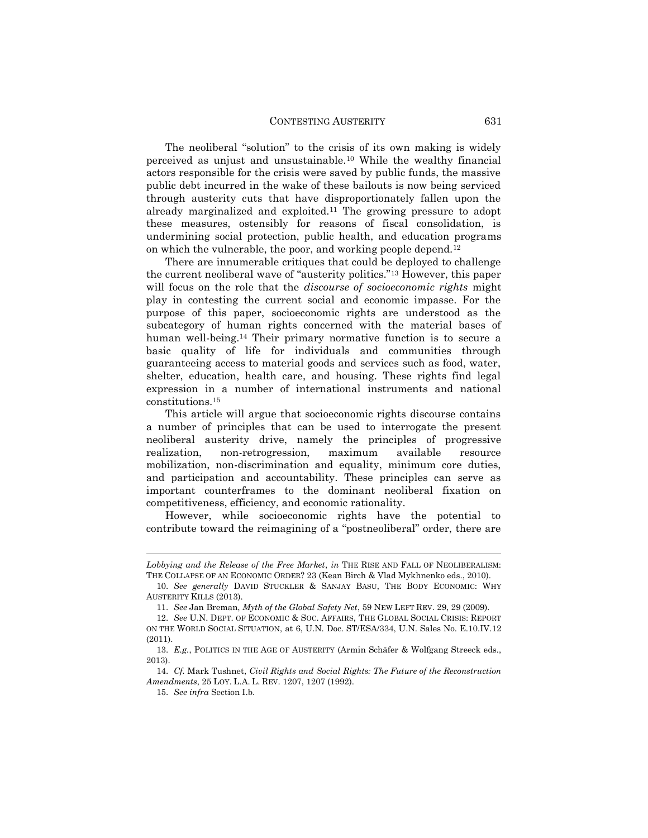The neoliberal "solution" to the crisis of its own making is widely perceived as unjust and unsustainable.<sup>10</sup> While the wealthy financial actors responsible for the crisis were saved by public funds, the massive public debt incurred in the wake of these bailouts is now being serviced through austerity cuts that have disproportionately fallen upon the already marginalized and exploited.<sup>11</sup> The growing pressure to adopt these measures, ostensibly for reasons of fiscal consolidation, is undermining social protection, public health, and education programs on which the vulnerable, the poor, and working people depend.<sup>12</sup>

There are innumerable critiques that could be deployed to challenge the current neoliberal wave of "austerity politics."<sup>13</sup> However, this paper will focus on the role that the *discourse of socioeconomic rights* might play in contesting the current social and economic impasse. For the purpose of this paper, socioeconomic rights are understood as the subcategory of human rights concerned with the material bases of human well-being.<sup>14</sup> Their primary normative function is to secure a basic quality of life for individuals and communities through guaranteeing access to material goods and services such as food, water, shelter, education, health care, and housing. These rights find legal expression in a number of international instruments and national constitutions.<sup>15</sup>

This article will argue that socioeconomic rights discourse contains a number of principles that can be used to interrogate the present neoliberal austerity drive, namely the principles of progressive realization, non-retrogression, maximum available resource mobilization, non-discrimination and equality, minimum core duties, and participation and accountability. These principles can serve as important counterframes to the dominant neoliberal fixation on competitiveness, efficiency, and economic rationality.

However, while socioeconomic rights have the potential to contribute toward the reimagining of a "postneoliberal" order, there are

*Lobbying and the Release of the Free Market*, *in* THE RISE AND FALL OF NEOLIBERALISM: THE COLLAPSE OF AN ECONOMIC ORDER? 23 (Kean Birch & Vlad Mykhnenko eds., 2010).

<sup>10.</sup> *See generally* DAVID STUCKLER & SANJAY BASU, THE BODY ECONOMIC: WHY AUSTERITY KILLS (2013).

<sup>11.</sup> *See* Jan Breman, *Myth of the Global Safety Net*, 59 NEW LEFT REV. 29, 29 (2009).

<sup>12.</sup> *See* U.N. DEPT. OF ECONOMIC & SOC. AFFAIRS, THE GLOBAL SOCIAL CRISIS: REPORT ON THE WORLD SOCIAL SITUATION, at 6, U.N. Doc. ST/ESA/334, U.N. Sales No. E.10.IV.12 (2011).

<sup>13.</sup> *E.g.*, POLITICS IN THE AGE OF AUSTERITY (Armin Schäfer & Wolfgang Streeck eds., 2013).

<sup>14.</sup> *Cf.* Mark Tushnet, *Civil Rights and Social Rights: The Future of the Reconstruction Amendments*, 25 LOY. L.A. L. REV. 1207, 1207 (1992).

<sup>15.</sup> *See infra* Section I.b.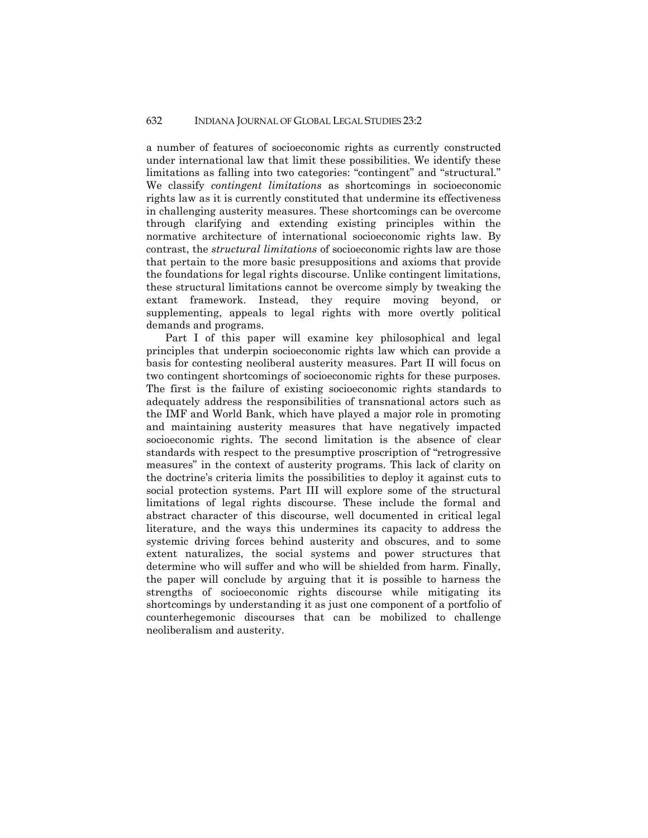a number of features of socioeconomic rights as currently constructed under international law that limit these possibilities. We identify these limitations as falling into two categories: "contingent" and "structural." We classify *contingent limitations* as shortcomings in socioeconomic rights law as it is currently constituted that undermine its effectiveness in challenging austerity measures. These shortcomings can be overcome through clarifying and extending existing principles within the normative architecture of international socioeconomic rights law. By contrast, the *structural limitations* of socioeconomic rights law are those that pertain to the more basic presuppositions and axioms that provide the foundations for legal rights discourse. Unlike contingent limitations, these structural limitations cannot be overcome simply by tweaking the extant framework. Instead, they require moving beyond, or supplementing, appeals to legal rights with more overtly political demands and programs.

Part I of this paper will examine key philosophical and legal principles that underpin socioeconomic rights law which can provide a basis for contesting neoliberal austerity measures. Part II will focus on two contingent shortcomings of socioeconomic rights for these purposes. The first is the failure of existing socioeconomic rights standards to adequately address the responsibilities of transnational actors such as the IMF and World Bank, which have played a major role in promoting and maintaining austerity measures that have negatively impacted socioeconomic rights. The second limitation is the absence of clear standards with respect to the presumptive proscription of "retrogressive measures" in the context of austerity programs. This lack of clarity on the doctrine's criteria limits the possibilities to deploy it against cuts to social protection systems. Part III will explore some of the structural limitations of legal rights discourse. These include the formal and abstract character of this discourse, well documented in critical legal literature, and the ways this undermines its capacity to address the systemic driving forces behind austerity and obscures, and to some extent naturalizes, the social systems and power structures that determine who will suffer and who will be shielded from harm. Finally, the paper will conclude by arguing that it is possible to harness the strengths of socioeconomic rights discourse while mitigating its shortcomings by understanding it as just one component of a portfolio of counterhegemonic discourses that can be mobilized to challenge neoliberalism and austerity.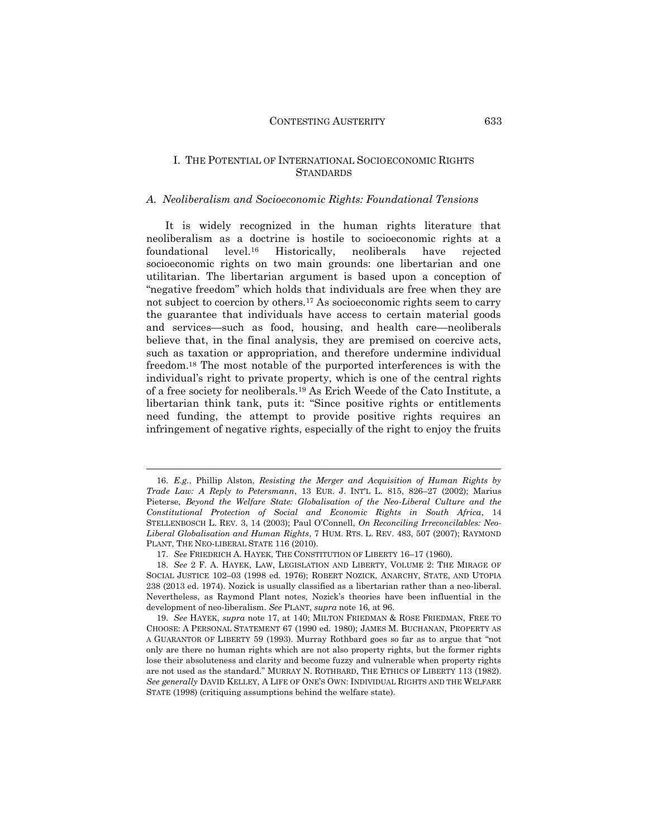#### I. THE POTENTIAL OF INTERNATIONAL SOCIOECONOMIC RIGHTS **STANDARDS**

#### *A. Neoliberalism and Socioeconomic Rights: Foundational Tensions*

It is widely recognized in the human rights literature that neoliberalism as a doctrine is hostile to socioeconomic rights at a foundational level.<sup>16</sup> Historically, neoliberals have rejected socioeconomic rights on two main grounds: one libertarian and one utilitarian. The libertarian argument is based upon a conception of "negative freedom" which holds that individuals are free when they are not subject to coercion by others.<sup>17</sup> As socioeconomic rights seem to carry the guarantee that individuals have access to certain material goods and services—such as food, housing, and health care—neoliberals believe that, in the final analysis, they are premised on coercive acts, such as taxation or appropriation, and therefore undermine individual freedom.<sup>18</sup> The most notable of the purported interferences is with the individual's right to private property, which is one of the central rights of a free society for neoliberals.<sup>19</sup> As Erich Weede of the Cato Institute, a libertarian think tank, puts it: "Since positive rights or entitlements need funding, the attempt to provide positive rights requires an infringement of negative rights, especially of the right to enjoy the fruits

<sup>16.</sup> *E.g.*, Phillip Alston, *Resisting the Merger and Acquisition of Human Rights by Trade Law: A Reply to Petersmann*, 13 EUR. J. INT'L L. 815, 826–27 (2002); Marius Pieterse, *Beyond the Welfare State: Globalisation of the Neo-Liberal Culture and the Constitutional Protection of Social and Economic Rights in South Africa*, 14 STELLENBOSCH L. REV. 3, 14 (2003); Paul O'Connell, *On Reconciling Irreconcilables: Neo-Liberal Globalisation and Human Rights*, 7 HUM. RTS. L. REV. 483, 507 (2007); RAYMOND PLANT, THE NEO-LIBERAL STATE 116 (2010).

<sup>17.</sup> *See* FRIEDRICH A. HAYEK, THE CONSTITUTION OF LIBERTY 16–17 (1960).

<sup>18.</sup> *See* 2 F. A. HAYEK, LAW, LEGISLATION AND LIBERTY, VOLUME 2: THE MIRAGE OF SOCIAL JUSTICE 102–03 (1998 ed. 1976); ROBERT NOZICK, ANARCHY, STATE, AND UTOPIA 238 (2013 ed. 1974). Nozick is usually classified as a libertarian rather than a neo-liberal. Nevertheless, as Raymond Plant notes, Nozick's theories have been influential in the development of neo-liberalism. *See* PLANT, *supra* note 16, at 96.

<sup>19.</sup> *See* HAYEK, *supra* note 17, at 140; MILTON FRIEDMAN & ROSE FRIEDMAN, FREE TO CHOOSE: A PERSONAL STATEMENT 67 (1990 ed. 1980); JAMES M. BUCHANAN, PROPERTY AS A GUARANTOR OF LIBERTY 59 (1993). Murray Rothbard goes so far as to argue that "not only are there no human rights which are not also property rights, but the former rights lose their absoluteness and clarity and become fuzzy and vulnerable when property rights are not used as the standard." MURRAY N. ROTHBARD, THE ETHICS OF LIBERTY 113 (1982). *See generally* DAVID KELLEY, A LIFE OF ONE'S OWN: INDIVIDUAL RIGHTS AND THE WELFARE STATE (1998) (critiquing assumptions behind the welfare state).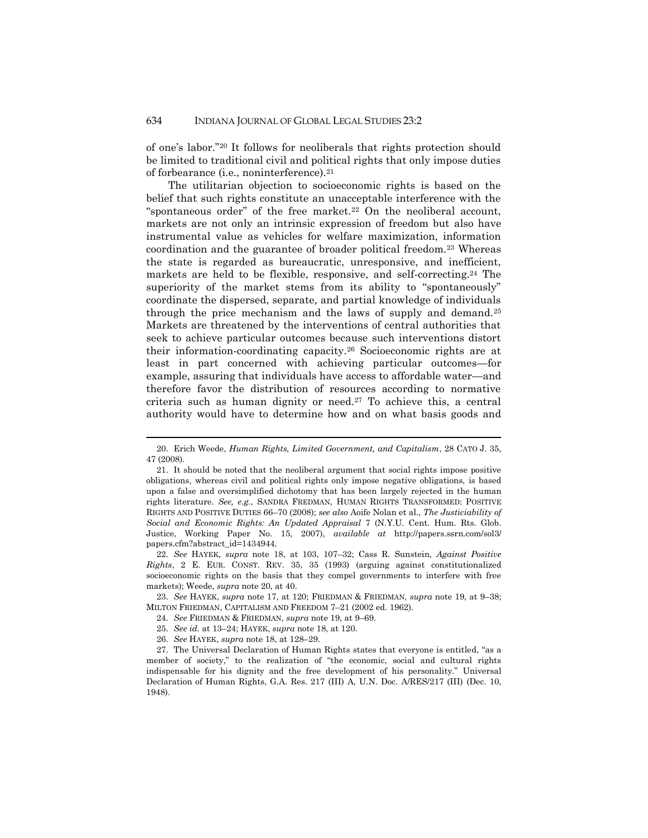of one's labor."<sup>20</sup> It follows for neoliberals that rights protection should be limited to traditional civil and political rights that only impose duties of forbearance (i.e., noninterference).<sup>21</sup>

The utilitarian objection to socioeconomic rights is based on the belief that such rights constitute an unacceptable interference with the "spontaneous order" of the free market.<sup>22</sup> On the neoliberal account, markets are not only an intrinsic expression of freedom but also have instrumental value as vehicles for welfare maximization, information coordination and the guarantee of broader political freedom.<sup>23</sup> Whereas the state is regarded as bureaucratic, unresponsive, and inefficient, markets are held to be flexible, responsive, and self-correcting.<sup>24</sup> The superiority of the market stems from its ability to "spontaneously" coordinate the dispersed, separate, and partial knowledge of individuals through the price mechanism and the laws of supply and demand.<sup>25</sup> Markets are threatened by the interventions of central authorities that seek to achieve particular outcomes because such interventions distort their information-coordinating capacity.<sup>26</sup> Socioeconomic rights are at least in part concerned with achieving particular outcomes—for example, assuring that individuals have access to affordable water—and therefore favor the distribution of resources according to normative criteria such as human dignity or need.<sup>27</sup> To achieve this, a central authority would have to determine how and on what basis goods and

22. *See* HAYEK, *supra* note 18, at 103, 107–32; Cass R. Sunstein, *Against Positive Rights*, 2 E. EUR. CONST. REV. 35, 35 (1993) (arguing against constitutionalized socioeconomic rights on the basis that they compel governments to interfere with free markets); Weede, *supra* note 20, at 40.

23. *See* HAYEK, *supra* note 17, at 120; FRIEDMAN & FRIEDMAN, *supra* note 19, at 9–38; MILTON FRIEDMAN, CAPITALISM AND FREEDOM 7–21 (2002 ed. 1962).

- 24. *See* FRIEDMAN & FRIEDMAN, *supra* note 19, at 9–69.
- 25. *See id.* at 13–24; HAYEK, *supra* note 18, at 120.
- 26. *See* HAYEK, *supra* note 18, at 128–29.

1

27. The Universal Declaration of Human Rights states that everyone is entitled, "as a member of society," to the realization of "the economic, social and cultural rights indispensable for his dignity and the free development of his personality." Universal Declaration of Human Rights, G.A. Res. 217 (III) A, U.N. Doc. A/RES/217 (III) (Dec. 10, 1948).

<sup>20.</sup> Erich Weede, *Human Rights, Limited Government, and Capitalism*, 28 CATO J. 35, 47 (2008).

<sup>21.</sup> It should be noted that the neoliberal argument that social rights impose positive obligations, whereas civil and political rights only impose negative obligations, is based upon a false and oversimplified dichotomy that has been largely rejected in the human rights literature. *See, e.g.*, SANDRA FREDMAN, HUMAN RIGHTS TRANSFORMED: POSITIVE RIGHTS AND POSITIVE DUTIES 66–70 (2008); *see also* Aoife Nolan et al., *The Justiciability of Social and Economic Rights: An Updated Appraisal* 7 (N.Y.U. Cent. Hum. Rts. Glob. Justice, Working Paper No. 15, 2007), *available at* http://papers.ssrn.com/sol3/ papers.cfm?abstract\_id=1434944.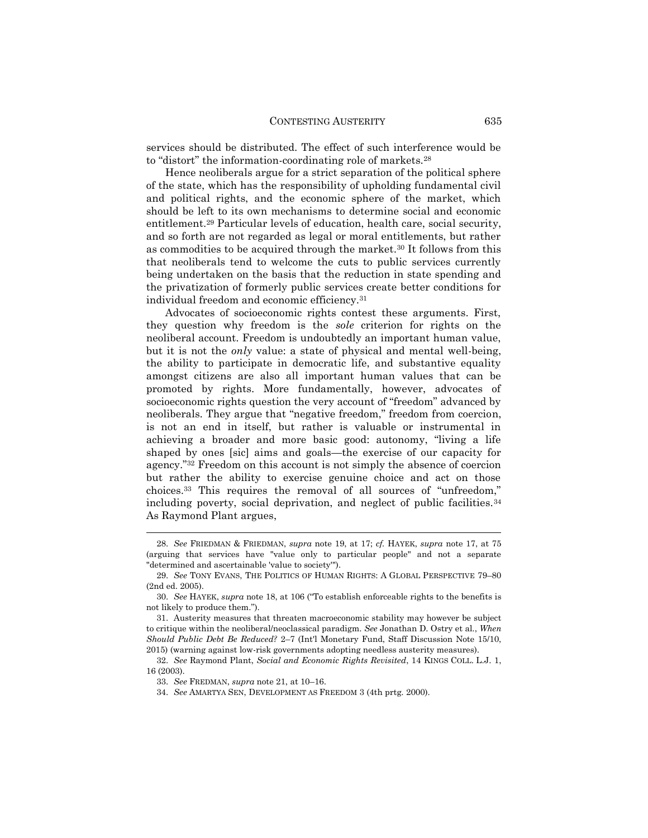services should be distributed. The effect of such interference would be to "distort" the information-coordinating role of markets.<sup>28</sup>

Hence neoliberals argue for a strict separation of the political sphere of the state, which has the responsibility of upholding fundamental civil and political rights, and the economic sphere of the market, which should be left to its own mechanisms to determine social and economic entitlement.<sup>29</sup> Particular levels of education, health care, social security, and so forth are not regarded as legal or moral entitlements, but rather as commodities to be acquired through the market.<sup>30</sup> It follows from this that neoliberals tend to welcome the cuts to public services currently being undertaken on the basis that the reduction in state spending and the privatization of formerly public services create better conditions for individual freedom and economic efficiency.<sup>31</sup>

Advocates of socioeconomic rights contest these arguments. First, they question why freedom is the *sole* criterion for rights on the neoliberal account. Freedom is undoubtedly an important human value, but it is not the *only* value: a state of physical and mental well-being, the ability to participate in democratic life, and substantive equality amongst citizens are also all important human values that can be promoted by rights. More fundamentally, however, advocates of socioeconomic rights question the very account of "freedom" advanced by neoliberals. They argue that "negative freedom," freedom from coercion, is not an end in itself, but rather is valuable or instrumental in achieving a broader and more basic good: autonomy, "living a life shaped by ones [sic] aims and goals—the exercise of our capacity for agency."<sup>32</sup> Freedom on this account is not simply the absence of coercion but rather the ability to exercise genuine choice and act on those choices.<sup>33</sup> This requires the removal of all sources of "unfreedom," including poverty, social deprivation, and neglect of public facilities.<sup>34</sup> As Raymond Plant argues,

<sup>28.</sup> *See* FRIEDMAN & FRIEDMAN, *supra* note 19, at 17; *cf.* HAYEK, *supra* note 17, at 75 (arguing that services have "value only to particular people" and not a separate "determined and ascertainable 'value to society'").

<sup>29.</sup> *See* TONY EVANS, THE POLITICS OF HUMAN RIGHTS: A GLOBAL PERSPECTIVE 79–80 (2nd ed. 2005).

<sup>30.</sup> *See* HAYEK, *supra* note 18, at 106 ("To establish enforceable rights to the benefits is not likely to produce them.").

<sup>31.</sup> Austerity measures that threaten macroeconomic stability may however be subject to critique within the neoliberal/neoclassical paradigm. *See* Jonathan D. Ostry et al., *When Should Public Debt Be Reduced?* 2–7 (Int'l Monetary Fund, Staff Discussion Note 15/10, 2015) (warning against low-risk governments adopting needless austerity measures).

<sup>32.</sup> *See* Raymond Plant, *Social and Economic Rights Revisited*, 14 KINGS COLL. L.J. 1, 16 (2003).

<sup>33.</sup> *See* FREDMAN, *supra* note 21, at 10–16.

<sup>34.</sup> *See* AMARTYA SEN, DEVELOPMENT AS FREEDOM 3 (4th prtg. 2000).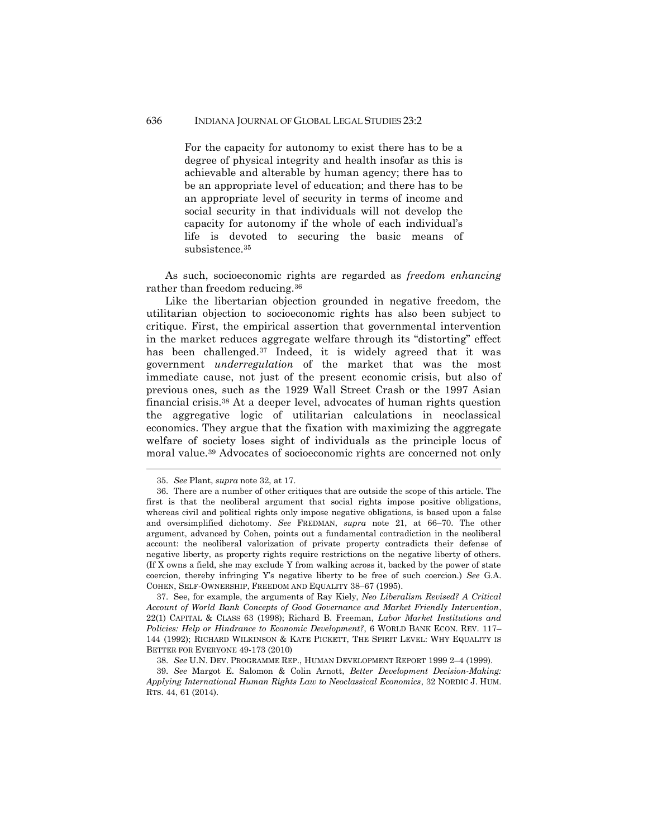#### 636 INDIANA JOURNAL OF GLOBAL LEGAL STUDIES 23:2

For the capacity for autonomy to exist there has to be a degree of physical integrity and health insofar as this is achievable and alterable by human agency; there has to be an appropriate level of education; and there has to be an appropriate level of security in terms of income and social security in that individuals will not develop the capacity for autonomy if the whole of each individual's life is devoted to securing the basic means of subsistence.<sup>35</sup>

As such, socioeconomic rights are regarded as *freedom enhancing* rather than freedom reducing.<sup>36</sup>

Like the libertarian objection grounded in negative freedom, the utilitarian objection to socioeconomic rights has also been subject to critique. First, the empirical assertion that governmental intervention in the market reduces aggregate welfare through its "distorting" effect has been challenged.<sup>37</sup> Indeed, it is widely agreed that it was government *underregulation* of the market that was the most immediate cause, not just of the present economic crisis, but also of previous ones, such as the 1929 Wall Street Crash or the 1997 Asian financial crisis.<sup>38</sup> At a deeper level, advocates of human rights question the aggregative logic of utilitarian calculations in neoclassical economics. They argue that the fixation with maximizing the aggregate welfare of society loses sight of individuals as the principle locus of moral value.<sup>39</sup> Advocates of socioeconomic rights are concerned not only

1

37. See, for example, the arguments of Ray Kiely, *Neo Liberalism Revised? A Critical Account of World Bank Concepts of Good Governance and Market Friendly Intervention*, 22(1) CAPITAL & CLASS 63 (1998); Richard B. Freeman, *Labor Market Institutions and Policies: Help or Hindrance to Economic Development?*, 6 WORLD BANK ECON. REV. 117– 144 (1992); RICHARD WILKINSON & KATE PICKETT, THE SPIRIT LEVEL: WHY EQUALITY IS BETTER FOR EVERYONE 49-173 (2010)

38. *See* U.N. DEV. PROGRAMME REP., HUMAN DEVELOPMENT REPORT 1999 2–4 (1999).

39. *See* Margot E. Salomon & Colin Arnott, *Better Development Decision-Making: Applying International Human Rights Law to Neoclassical Economics*, 32 NORDIC J. HUM. RTS. 44, 61 (2014).

<sup>35.</sup> *See* Plant, *supra* note 32, at 17.

<sup>36.</sup> There are a number of other critiques that are outside the scope of this article. The first is that the neoliberal argument that social rights impose positive obligations, whereas civil and political rights only impose negative obligations, is based upon a false and oversimplified dichotomy. *See* FREDMAN, *supra* note 21, at 66–70. The other argument, advanced by Cohen, points out a fundamental contradiction in the neoliberal account: the neoliberal valorization of private property contradicts their defense of negative liberty, as property rights require restrictions on the negative liberty of others. (If X owns a field, she may exclude Y from walking across it, backed by the power of state coercion, thereby infringing Y's negative liberty to be free of such coercion.) *See* G.A. COHEN, SELF-OWNERSHIP, FREEDOM AND EQUALITY 38–67 (1995).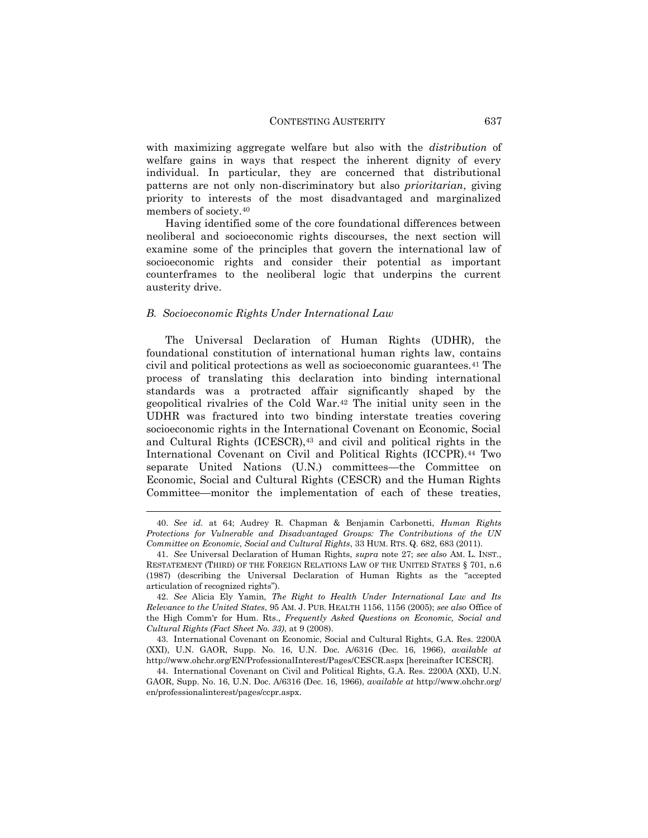with maximizing aggregate welfare but also with the *distribution* of welfare gains in ways that respect the inherent dignity of every individual. In particular, they are concerned that distributional patterns are not only non-discriminatory but also *prioritarian*, giving priority to interests of the most disadvantaged and marginalized members of society.<sup>40</sup>

Having identified some of the core foundational differences between neoliberal and socioeconomic rights discourses, the next section will examine some of the principles that govern the international law of socioeconomic rights and consider their potential as important counterframes to the neoliberal logic that underpins the current austerity drive.

#### *B. Socioeconomic Rights Under International Law*

 $\overline{a}$ 

The Universal Declaration of Human Rights (UDHR), the foundational constitution of international human rights law, contains civil and political protections as well as socioeconomic guarantees.<sup>41</sup> The process of translating this declaration into binding international standards was a protracted affair significantly shaped by the geopolitical rivalries of the Cold War.<sup>42</sup> The initial unity seen in the UDHR was fractured into two binding interstate treaties covering socioeconomic rights in the International Covenant on Economic, Social and Cultural Rights (ICESCR),<sup>43</sup> and civil and political rights in the International Covenant on Civil and Political Rights (ICCPR).<sup>44</sup> Two separate United Nations (U.N.) committees—the Committee on Economic, Social and Cultural Rights (CESCR) and the Human Rights Committee—monitor the implementation of each of these treaties,

<sup>40.</sup> *See id.* at 64; Audrey R. Chapman & Benjamin Carbonetti, *Human Rights Protections for Vulnerable and Disadvantaged Groups: The Contributions of the UN Committee on Economic, Social and Cultural Rights*, 33 HUM. RTS. Q. 682, 683 (2011).

<sup>41.</sup> *See* Universal Declaration of Human Rights, *supra* note 27; *see also* AM. L. INST., RESTATEMENT (THIRD) OF THE FOREIGN RELATIONS LAW OF THE UNITED STATES § 701, n.6 (1987) (describing the Universal Declaration of Human Rights as the "accepted articulation of recognized rights").

<sup>42.</sup> *See* Alicia Ely Yamin, *The Right to Health Under International Law and Its Relevance to the United States*, 95 AM. J. PUB. HEALTH 1156, 1156 (2005); *see also* Office of the High Comm'r for Hum. Rts., *Frequently Asked Questions on Economic, Social and Cultural Rights (Fact Sheet No. 33)*, at 9 (2008).

<sup>43.</sup> International Covenant on Economic, Social and Cultural Rights, G.A. Res. 2200A (XXI), U.N. GAOR, Supp. No. 16, U.N. Doc. A/6316 (Dec. 16, 1966), *available at* http://www.ohchr.org/EN/ProfessionalInterest/Pages/CESCR.aspx [hereinafter ICESCR].

<sup>44.</sup> International Covenant on Civil and Political Rights, G.A. Res. 2200A (XXI), U.N. GAOR, Supp. No. 16, U.N. Doc. A/6316 (Dec. 16, 1966), *available at* http://www.ohchr.org/ en/professionalinterest/pages/ccpr.aspx.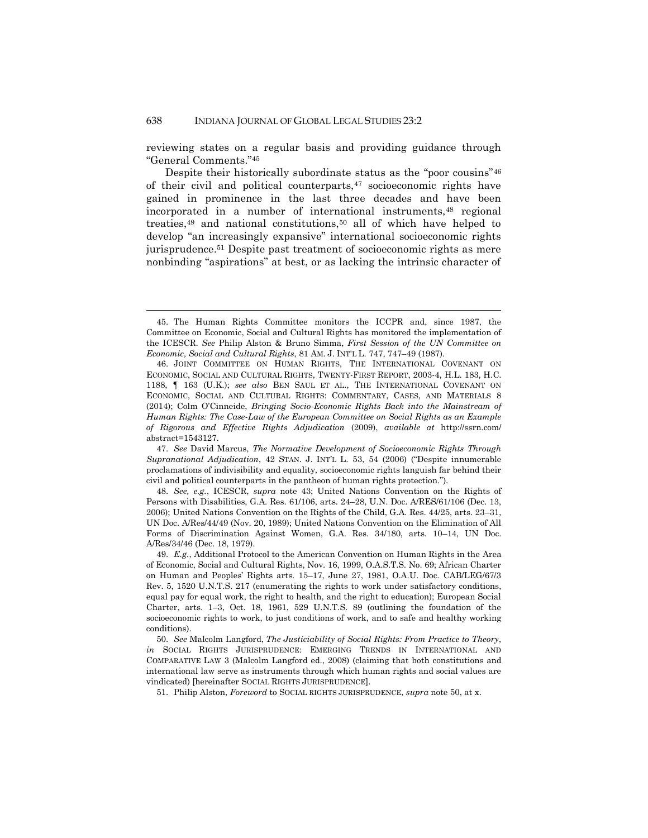1

reviewing states on a regular basis and providing guidance through "General Comments."<sup>45</sup>

Despite their historically subordinate status as the "poor cousins"<sup>46</sup> of their civil and political counterparts, $47$  socioeconomic rights have gained in prominence in the last three decades and have been incorporated in a number of international instruments,<sup>48</sup> regional treaties,<sup>49</sup> and national constitutions,<sup>50</sup> all of which have helped to develop "an increasingly expansive" international socioeconomic rights jurisprudence.<sup>51</sup> Despite past treatment of socioeconomic rights as mere nonbinding "aspirations" at best, or as lacking the intrinsic character of

47. *See* David Marcus, *The Normative Development of Socioeconomic Rights Through Supranational Adjudication*, 42 STAN. J. INT'L L. 53, 54 (2006) ("Despite innumerable proclamations of indivisibility and equality, socioeconomic rights languish far behind their civil and political counterparts in the pantheon of human rights protection.").

48. *See, e.g.*, ICESCR, *supra* note 43; United Nations Convention on the Rights of Persons with Disabilities, G.A. Res. 61/106, arts. 24–28, U.N. Doc. A/RES/61/106 (Dec. 13, 2006); United Nations Convention on the Rights of the Child, G.A. Res. 44/25, arts. 23–31, UN Doc. A/Res/44/49 (Nov. 20, 1989); United Nations Convention on the Elimination of All Forms of Discrimination Against Women, G.A. Res. 34/180, arts. 10–14, UN Doc. A/Res/34/46 (Dec. 18, 1979).

49. *E.g.*, Additional Protocol to the American Convention on Human Rights in the Area of Economic, Social and Cultural Rights, Nov. 16, 1999, O.A.S.T.S. No. 69; African Charter on Human and Peoples' Rights arts. 15–17, June 27, 1981, O.A.U. Doc. CAB/LEG/67/3 Rev. 5, 1520 U.N.T.S. 217 (enumerating the rights to work under satisfactory conditions, equal pay for equal work, the right to health, and the right to education); European Social Charter, arts. 1–3, Oct. 18, 1961, 529 U.N.T.S. 89 (outlining the foundation of the socioeconomic rights to work, to just conditions of work, and to safe and healthy working conditions).

50. *See* Malcolm Langford, *The Justiciability of Social Rights: From Practice to Theory*, *in* SOCIAL RIGHTS JURISPRUDENCE: EMERGING TRENDS IN INTERNATIONAL AND COMPARATIVE LAW 3 (Malcolm Langford ed., 2008) (claiming that both constitutions and international law serve as instruments through which human rights and social values are vindicated) [hereinafter SOCIAL RIGHTS JURISPRUDENCE].

51. Philip Alston, *Foreword* to SOCIAL RIGHTS JURISPRUDENCE, *supra* note 50, at x.

<sup>45.</sup> The Human Rights Committee monitors the ICCPR and, since 1987, the Committee on Economic, Social and Cultural Rights has monitored the implementation of the ICESCR. *See* Philip Alston & Bruno Simma, *First Session of the UN Committee on Economic, Social and Cultural Rights*, 81 AM. J. INT'L L. 747, 747–49 (1987).

<sup>46.</sup> JOINT COMMITTEE ON HUMAN RIGHTS, THE INTERNATIONAL COVENANT ON ECONOMIC, SOCIAL AND CULTURAL RIGHTS, TWENTY-FIRST REPORT, 2003-4, H.L. 183, H.C. 1188, ¶ 163 (U.K.); *see also* BEN SAUL ET AL., THE INTERNATIONAL COVENANT ON ECONOMIC, SOCIAL AND CULTURAL RIGHTS: COMMENTARY, CASES, AND MATERIALS 8 (2014); Colm O'Cinneide, *Bringing Socio-Economic Rights Back into the Mainstream of Human Rights: The Case-Law of the European Committee on Social Rights as an Example of Rigorous and Effective Rights Adjudication* (2009), *available at* http://ssrn.com/ abstract=1543127.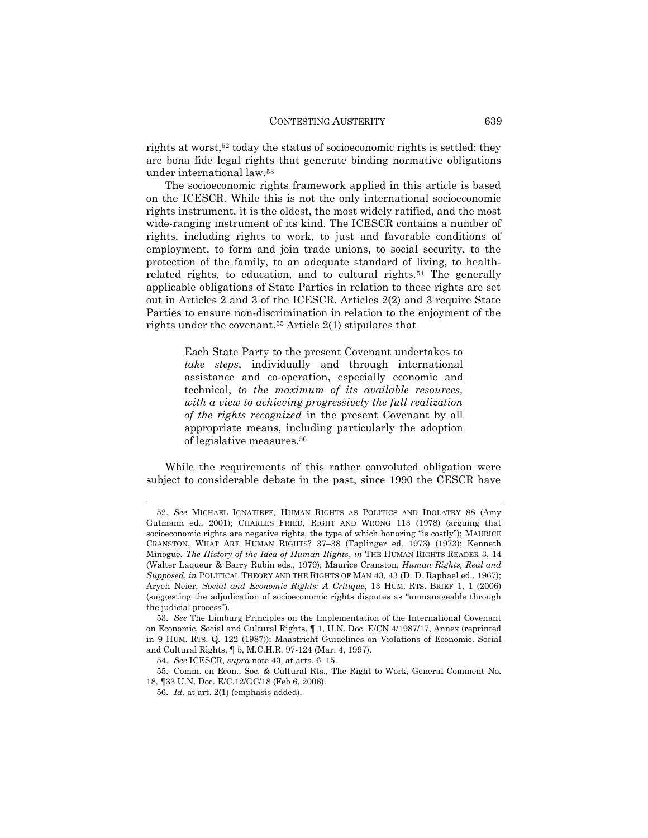rights at worst,<sup>52</sup> today the status of socioeconomic rights is settled: they are bona fide legal rights that generate binding normative obligations under international law.<sup>53</sup>

The socioeconomic rights framework applied in this article is based on the ICESCR. While this is not the only international socioeconomic rights instrument, it is the oldest, the most widely ratified, and the most wide-ranging instrument of its kind. The ICESCR contains a number of rights, including rights to work, to just and favorable conditions of employment, to form and join trade unions, to social security, to the protection of the family, to an adequate standard of living, to healthrelated rights, to education, and to cultural rights.<sup>54</sup> The generally applicable obligations of State Parties in relation to these rights are set out in Articles 2 and 3 of the ICESCR. Articles 2(2) and 3 require State Parties to ensure non-discrimination in relation to the enjoyment of the rights under the covenant.<sup>55</sup> Article  $2(1)$  stipulates that

> Each State Party to the present Covenant undertakes to *take steps*, individually and through international assistance and co-operation, especially economic and technical, *to the maximum of its available resources, with a view to achieving progressively the full realization of the rights recognized* in the present Covenant by all appropriate means, including particularly the adoption of legislative measures.<sup>56</sup>

While the requirements of this rather convoluted obligation were subject to considerable debate in the past, since 1990 the CESCR have

<sup>52.</sup> *See* MICHAEL IGNATIEFF, HUMAN RIGHTS AS POLITICS AND IDOLATRY 88 (Amy Gutmann ed., 2001); CHARLES FRIED, RIGHT AND WRONG 113 (1978) (arguing that socioeconomic rights are negative rights, the type of which honoring "is costly"); MAURICE CRANSTON, WHAT ARE HUMAN RIGHTS? 37–38 (Taplinger ed. 1973) (1973); Kenneth Minogue, *The History of the Idea of Human Rights*, *in* THE HUMAN RIGHTS READER 3, 14 (Walter Laqueur & Barry Rubin eds., 1979); Maurice Cranston, *Human Rights, Real and Supposed*, *in* POLITICAL THEORY AND THE RIGHTS OF MAN 43, 43 (D. D. Raphael ed., 1967); Aryeh Neier, *Social and Economic Rights: A Critique*, 13 HUM. RTS. BRIEF 1, 1 (2006) (suggesting the adjudication of socioeconomic rights disputes as "unmanageable through the judicial process").

<sup>53.</sup> *See* The Limburg Principles on the Implementation of the International Covenant on Economic, Social and Cultural Rights, ¶ 1, U.N. Doc. E/CN.4/1987/17, Annex (reprinted in 9 HUM. RTS. Q. 122 (1987)); Maastricht Guidelines on Violations of Economic, Social and Cultural Rights, ¶ 5, M.C.H.R. 97-124 (Mar. 4, 1997).

<sup>54.</sup> *See* ICESCR, *supra* note 43, at arts. 6–15.

<sup>55.</sup> Comm. on Econ., Soc. & Cultural Rts., The Right to Work, General Comment No. 18, ¶33 U.N. Doc. E/C.12/GC/18 (Feb 6, 2006).

<sup>56.</sup> *Id.* at art. 2(1) (emphasis added).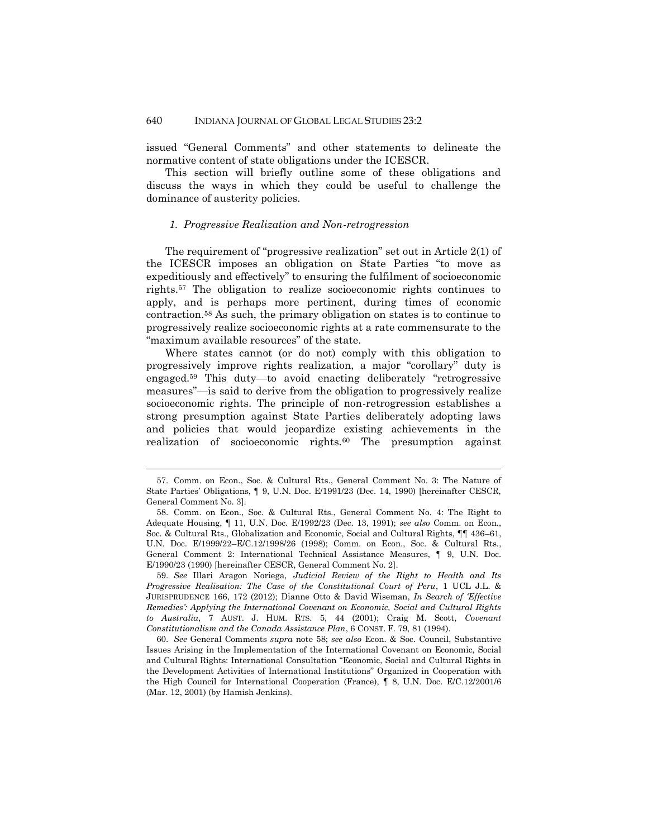issued "General Comments" and other statements to delineate the normative content of state obligations under the ICESCR.

This section will briefly outline some of these obligations and discuss the ways in which they could be useful to challenge the dominance of austerity policies.

#### *1. Progressive Realization and Non-retrogression*

The requirement of "progressive realization" set out in Article 2(1) of the ICESCR imposes an obligation on State Parties "to move as expeditiously and effectively" to ensuring the fulfilment of socioeconomic rights.<sup>57</sup> The obligation to realize socioeconomic rights continues to apply, and is perhaps more pertinent, during times of economic contraction.<sup>58</sup> As such, the primary obligation on states is to continue to progressively realize socioeconomic rights at a rate commensurate to the "maximum available resources" of the state.

Where states cannot (or do not) comply with this obligation to progressively improve rights realization, a major "corollary" duty is engaged.<sup>59</sup> This duty—to avoid enacting deliberately "retrogressive measures"—is said to derive from the obligation to progressively realize socioeconomic rights. The principle of non-retrogression establishes a strong presumption against State Parties deliberately adopting laws and policies that would jeopardize existing achievements in the realization of socioeconomic rights.<sup>60</sup> The presumption against

<sup>57.</sup> Comm. on Econ., Soc. & Cultural Rts., General Comment No. 3: The Nature of State Parties' Obligations, ¶ 9, U.N. Doc. E/1991/23 (Dec. 14, 1990) [hereinafter CESCR, General Comment No. 3].

<sup>58.</sup> Comm. on Econ., Soc. & Cultural Rts., General Comment No. 4: The Right to Adequate Housing, ¶ 11, U.N. Doc. E/1992/23 (Dec. 13, 1991); *see also* Comm. on Econ., Soc. & Cultural Rts., Globalization and Economic, Social and Cultural Rights, ¶¶ 436–61, U.N. Doc. E/1999/22–E/C.12/1998/26 (1998); Comm. on Econ., Soc. & Cultural Rts., General Comment 2: International Technical Assistance Measures, ¶ 9, U.N. Doc. E/1990/23 (1990) [hereinafter CESCR, General Comment No. 2].

<sup>59.</sup> *See* Illari Aragon Noriega, *Judicial Review of the Right to Health and Its Progressive Realisation: The Case of the Constitutional Court of Peru*, 1 UCL J.L. & JURISPRUDENCE 166, 172 (2012); Dianne Otto & David Wiseman, *In Search of 'Effective Remedies': Applying the International Covenant on Economic, Social and Cultural Rights to Australia*, 7 AUST. J. HUM. RTS. 5, 44 (2001); Craig M. Scott, *Covenant Constitutionalism and the Canada Assistance Plan*, 6 CONST. F. 79, 81 (1994).

<sup>60.</sup> *See* General Comments *supra* note 58; *see also* Econ. & Soc. Council, Substantive Issues Arising in the Implementation of the International Covenant on Economic, Social and Cultural Rights: International Consultation "Economic, Social and Cultural Rights in the Development Activities of International Institutions" Organized in Cooperation with the High Council for International Cooperation (France), ¶ 8, U.N. Doc. E/C.12/2001/6 (Mar. 12, 2001) (by Hamish Jenkins).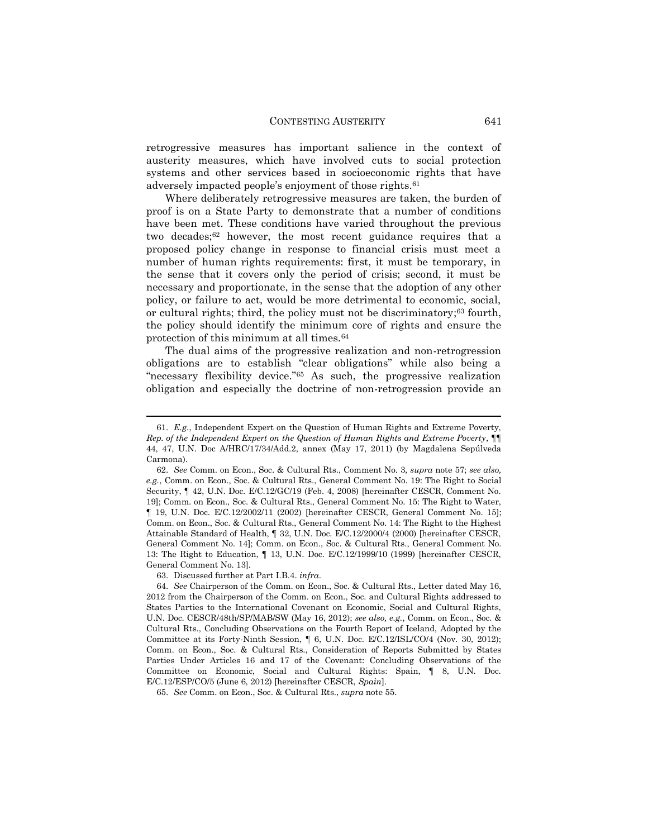retrogressive measures has important salience in the context of austerity measures, which have involved cuts to social protection systems and other services based in socioeconomic rights that have adversely impacted people's enjoyment of those rights.<sup>61</sup>

Where deliberately retrogressive measures are taken, the burden of proof is on a State Party to demonstrate that a number of conditions have been met. These conditions have varied throughout the previous two decades;<sup>62</sup> however, the most recent guidance requires that a proposed policy change in response to financial crisis must meet a number of human rights requirements: first, it must be temporary, in the sense that it covers only the period of crisis; second, it must be necessary and proportionate, in the sense that the adoption of any other policy, or failure to act, would be more detrimental to economic, social, or cultural rights; third, the policy must not be discriminatory; <sup>63</sup> fourth, the policy should identify the minimum core of rights and ensure the protection of this minimum at all times.<sup>64</sup>

The dual aims of the progressive realization and non-retrogression obligations are to establish "clear obligations" while also being a "necessary flexibility device."<sup>65</sup> As such, the progressive realization obligation and especially the doctrine of non-retrogression provide an

<sup>61.</sup> *E.g.*, Independent Expert on the Question of Human Rights and Extreme Poverty, *Rep. of the Independent Expert on the Question of Human Rights and Extreme Poverty*, ¶¶ 44, 47, U.N. Doc A/HRC/17/34/Add.2, annex (May 17, 2011) (by Magdalena Sepúlveda Carmona).

<sup>62.</sup> *See* Comm. on Econ., Soc. & Cultural Rts., Comment No. 3, *supra* note 57; *see also, e.g.*, Comm. on Econ., Soc. & Cultural Rts., General Comment No. 19: The Right to Social Security, ¶ 42, U.N. Doc. E/C.12/GC/19 (Feb. 4, 2008) [hereinafter CESCR, Comment No. 19]; Comm. on Econ., Soc. & Cultural Rts., General Comment No. 15: The Right to Water, ¶ 19, U.N. Doc. E/C.12/2002/11 (2002) [hereinafter CESCR, General Comment No. 15]; Comm. on Econ., Soc. & Cultural Rts., General Comment No. 14: The Right to the Highest Attainable Standard of Health, ¶ 32, U.N. Doc. E/C.12/2000/4 (2000) [hereinafter CESCR, General Comment No. 14]; Comm. on Econ., Soc. & Cultural Rts., General Comment No. 13: The Right to Education, ¶ 13, U.N. Doc. E/C.12/1999/10 (1999) [hereinafter CESCR, General Comment No. 13].

<sup>63.</sup> Discussed further at Part I.B.4. *infra*.

<sup>64.</sup> *See* Chairperson of the Comm. on Econ., Soc. & Cultural Rts., Letter dated May 16, 2012 from the Chairperson of the Comm. on Econ., Soc. and Cultural Rights addressed to States Parties to the International Covenant on Economic, Social and Cultural Rights, U.N. Doc. CESCR/48th/SP/MAB/SW (May 16, 2012); *see also, e.g.*, Comm. on Econ., Soc. & Cultural Rts., Concluding Observations on the Fourth Report of Iceland, Adopted by the Committee at its Forty-Ninth Session, ¶ 6, U.N. Doc. E/C.12/ISL/CO/4 (Nov. 30, 2012); Comm. on Econ., Soc. & Cultural Rts., Consideration of Reports Submitted by States Parties Under Articles 16 and 17 of the Covenant: Concluding Observations of the Committee on Economic, Social and Cultural Rights: Spain, ¶ 8, U.N. Doc. E/C.12/ESP/CO/5 (June 6, 2012) [hereinafter CESCR, *Spain*].

<sup>65.</sup> *See* Comm. on Econ., Soc. & Cultural Rts., *supra* note 55.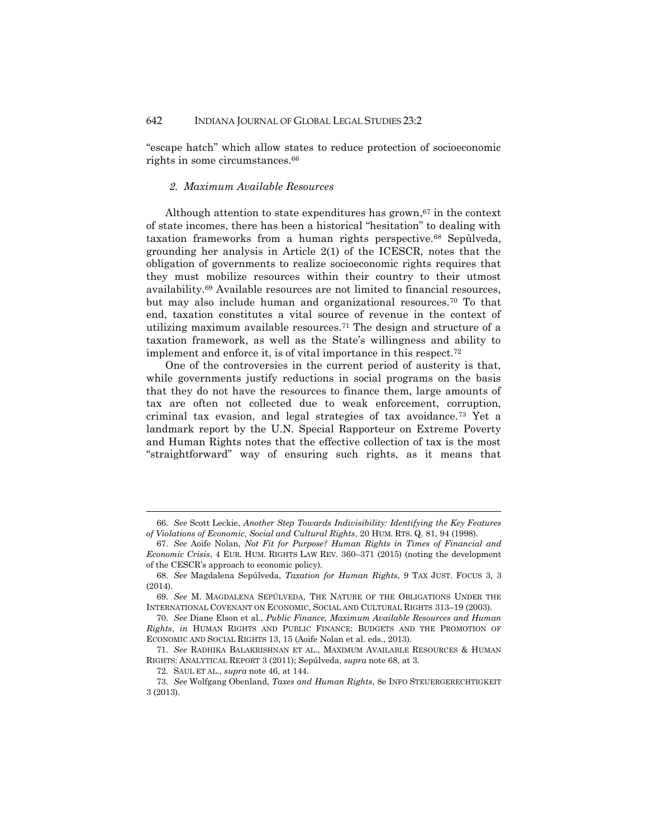"escape hatch" which allow states to reduce protection of socioeconomic rights in some circumstances.<sup>66</sup>

#### *2. Maximum Available Resources*

Although attention to state expenditures has grown, <sup>67</sup> in the context of state incomes, there has been a historical "hesitation" to dealing with taxation frameworks from a human rights perspective.<sup>68</sup> Sepùlveda, grounding her analysis in Article 2(1) of the ICESCR, notes that the obligation of governments to realize socioeconomic rights requires that they must mobilize resources within their country to their utmost availability.<sup>69</sup> Available resources are not limited to financial resources, but may also include human and organizational resources.<sup>70</sup> To that end, taxation constitutes a vital source of revenue in the context of utilizing maximum available resources.<sup>71</sup> The design and structure of a taxation framework, as well as the State's willingness and ability to implement and enforce it, is of vital importance in this respect.<sup>72</sup>

One of the controversies in the current period of austerity is that, while governments justify reductions in social programs on the basis that they do not have the resources to finance them, large amounts of tax are often not collected due to weak enforcement, corruption, criminal tax evasion, and legal strategies of tax avoidance.<sup>73</sup> Yet a landmark report by the U.N. Special Rapporteur on Extreme Poverty and Human Rights notes that the effective collection of tax is the most "straightforward" way of ensuring such rights, as it means that

<sup>66.</sup> *See* Scott Leckie, *Another Step Towards Indivisibility: Identifying the Key Features of Violations of Economic, Social and Cultural Rights*, 20 HUM. RTS. Q. 81, 94 (1998).

<sup>67.</sup> *See* Aoife Nolan, *Not Fit for Purpose? Human Rights in Times of Financial and Economic Crisis*, 4 EUR. HUM. RIGHTS LAW REV. 360–371 (2015) (noting the development of the CESCR's approach to economic policy).

<sup>68.</sup> *See* Magdalena Sepúlveda, *Taxation for Human Rights*, 9 TAX JUST. FOCUS 3, 3 (2014).

<sup>69.</sup> *See* M. MAGDALENA SEPÚLVEDA, THE NATURE OF THE OBLIGATIONS UNDER THE INTERNATIONAL COVENANT ON ECONOMIC, SOCIAL AND CULTURAL RIGHTS 313–19 (2003).

<sup>70.</sup> *See* Diane Elson et al., *Public Finance, Maximum Available Resources and Human Rights*, *in* HUMAN RIGHTS AND PUBLIC FINANCE: BUDGETS AND THE PROMOTION OF ECONOMIC AND SOCIAL RIGHTS 13, 15 (Aoife Nolan et al. eds., 2013).

<sup>71.</sup> *See* RADHIKA BALAKRISHNAN ET AL., MAXIMUM AVAILABLE RESOURCES & HUMAN RIGHTS: ANALYTICAL REPORT 3 (2011); Sepúlveda, *supra* note 68, at 3.

<sup>72.</sup> SAUL ET AL., *supra* note 46, at 144.

<sup>73.</sup> *See* Wolfgang Obenland, *Taxes and Human Rights*, 8e INFO STEUERGERECHTIGKEIT 3 (2013).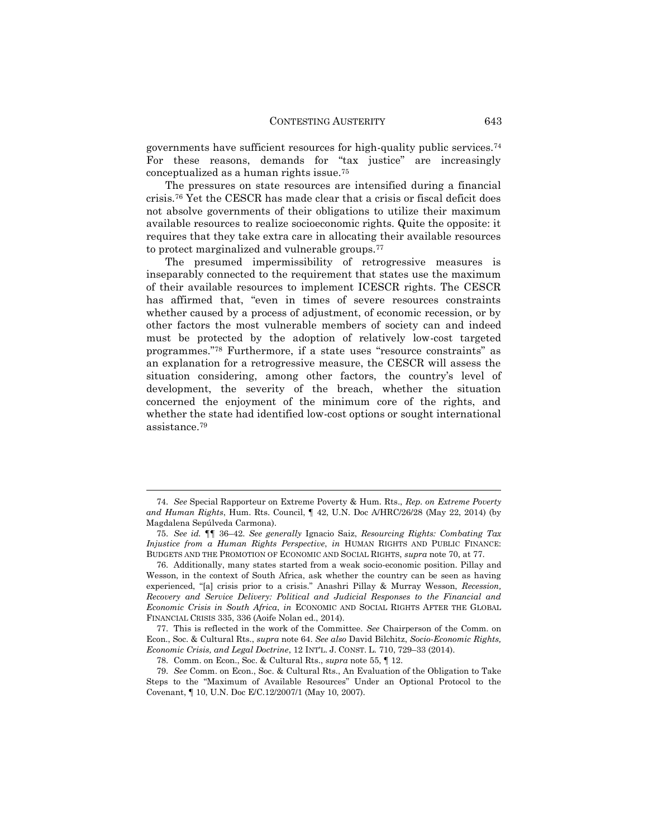governments have sufficient resources for high-quality public services.<sup>74</sup> For these reasons, demands for "tax justice" are increasingly conceptualized as a human rights issue.<sup>75</sup>

The pressures on state resources are intensified during a financial crisis.<sup>76</sup> Yet the CESCR has made clear that a crisis or fiscal deficit does not absolve governments of their obligations to utilize their maximum available resources to realize socioeconomic rights. Quite the opposite: it requires that they take extra care in allocating their available resources to protect marginalized and vulnerable groups.<sup>77</sup>

The presumed impermissibility of retrogressive measures is inseparably connected to the requirement that states use the maximum of their available resources to implement ICESCR rights. The CESCR has affirmed that, "even in times of severe resources constraints whether caused by a process of adjustment, of economic recession, or by other factors the most vulnerable members of society can and indeed must be protected by the adoption of relatively low-cost targeted programmes."<sup>78</sup> Furthermore, if a state uses "resource constraints" as an explanation for a retrogressive measure, the CESCR will assess the situation considering, among other factors, the country's level of development, the severity of the breach, whether the situation concerned the enjoyment of the minimum core of the rights, and whether the state had identified low-cost options or sought international assistance.<sup>79</sup>

<sup>74.</sup> *See* Special Rapporteur on Extreme Poverty & Hum. Rts., *Rep. on Extreme Poverty and Human Rights*, Hum. Rts. Council, ¶ 42, U.N. Doc A/HRC/26/28 (May 22, 2014) (by Magdalena Sepúlveda Carmona).

<sup>75.</sup> *See id.* ¶¶ 36–42. *See generally* Ignacio Saiz, *Resourcing Rights: Combating Tax Injustice from a Human Rights Perspective*, *in* HUMAN RIGHTS AND PUBLIC FINANCE: BUDGETS AND THE PROMOTION OF ECONOMIC AND SOCIAL RIGHTS, *supra* note 70, at 77.

<sup>76.</sup> Additionally, many states started from a weak socio-economic position. Pillay and Wesson, in the context of South Africa, ask whether the country can be seen as having experienced, "[a] crisis prior to a crisis." Anashri Pillay & Murray Wesson, *Recession, Recovery and Service Delivery: Political and Judicial Responses to the Financial and Economic Crisis in South Africa*, *in* ECONOMIC AND SOCIAL RIGHTS AFTER THE GLOBAL FINANCIAL CRISIS 335, 336 (Aoife Nolan ed., 2014).

<sup>77.</sup> This is reflected in the work of the Committee. *See* Chairperson of the Comm. on Econ., Soc. & Cultural Rts., *supra* note 64. *See also* David Bilchitz, *Socio-Economic Rights, Economic Crisis, and Legal Doctrine*, 12 INT'L. J. CONST. L. 710, 729–33 (2014).

<sup>78.</sup> Comm. on Econ., Soc. & Cultural Rts., *supra* note 55, ¶ 12.

<sup>79.</sup> *See* Comm. on Econ., Soc. & Cultural Rts., An Evaluation of the Obligation to Take Steps to the "Maximum of Available Resources" Under an Optional Protocol to the Covenant, ¶ 10, U.N. Doc E/C.12/2007/1 (May 10, 2007).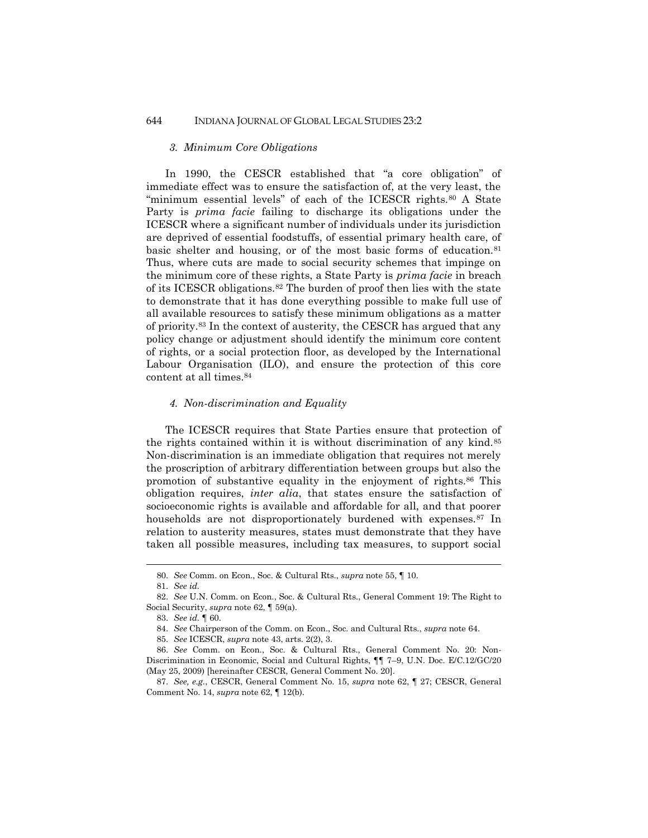#### *3. Minimum Core Obligations*

In 1990, the CESCR established that "a core obligation" of immediate effect was to ensure the satisfaction of, at the very least, the "minimum essential levels" of each of the ICESCR rights.<sup>80</sup> A State Party is *prima facie* failing to discharge its obligations under the ICESCR where a significant number of individuals under its jurisdiction are deprived of essential foodstuffs, of essential primary health care, of basic shelter and housing, or of the most basic forms of education.<sup>81</sup> Thus, where cuts are made to social security schemes that impinge on the minimum core of these rights, a State Party is *prima facie* in breach of its ICESCR obligations.<sup>82</sup> The burden of proof then lies with the state to demonstrate that it has done everything possible to make full use of all available resources to satisfy these minimum obligations as a matter of priority.<sup>83</sup> In the context of austerity, the CESCR has argued that any policy change or adjustment should identify the minimum core content of rights, or a social protection floor, as developed by the International Labour Organisation (ILO), and ensure the protection of this core content at all times.<sup>84</sup>

#### *4. Non-discrimination and Equality*

The ICESCR requires that State Parties ensure that protection of the rights contained within it is without discrimination of any kind.<sup>85</sup> Non-discrimination is an immediate obligation that requires not merely the proscription of arbitrary differentiation between groups but also the promotion of substantive equality in the enjoyment of rights.<sup>86</sup> This obligation requires, *inter alia*, that states ensure the satisfaction of socioeconomic rights is available and affordable for all, and that poorer households are not disproportionately burdened with expenses.<sup>87</sup> In relation to austerity measures, states must demonstrate that they have taken all possible measures, including tax measures, to support social

<sup>80.</sup> *See* Comm. on Econ., Soc. & Cultural Rts., *supra* note 55, ¶ 10.

<sup>81.</sup> *See id.*

<sup>82.</sup> *See* U.N. Comm. on Econ., Soc. & Cultural Rts., General Comment 19: The Right to Social Security, *supra* note 62, ¶ 59(a).

<sup>83.</sup> *See id.* ¶ 60.

<sup>84.</sup> *See* Chairperson of the Comm. on Econ., Soc. and Cultural Rts., *supra* note 64.

<sup>85.</sup> *See* ICESCR, *supra* note 43, arts. 2(2), 3.

<sup>86.</sup> *See* Comm. on Econ., Soc. & Cultural Rts., General Comment No. 20: Non-Discrimination in Economic, Social and Cultural Rights, ¶¶ 7–9, U.N. Doc. E/C.12/GC/20 (May 25, 2009) [hereinafter CESCR, General Comment No. 20].

<sup>87.</sup> *See, e.g.*, CESCR, General Comment No. 15, *supra* note 62, ¶ 27; CESCR, General Comment No. 14, *supra* note 62, ¶ 12(b).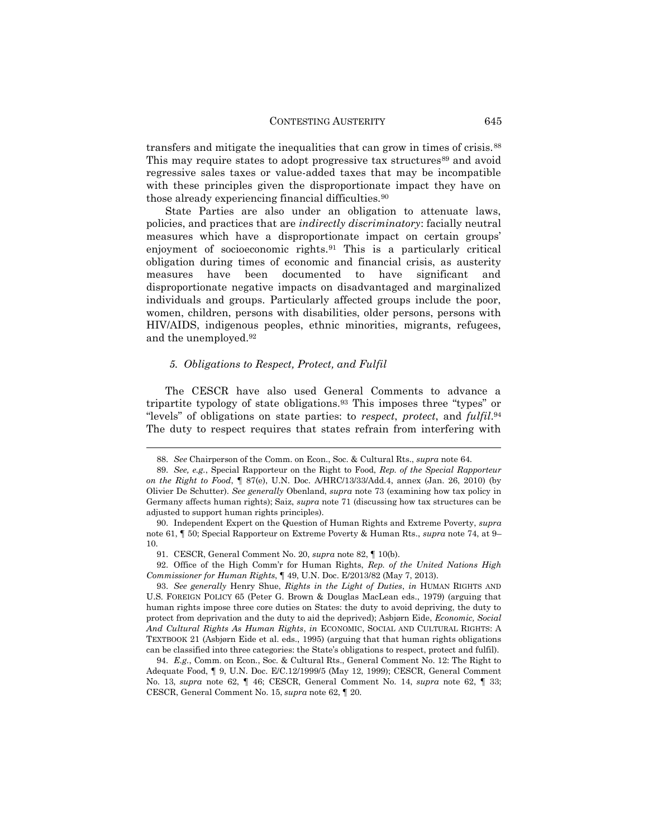transfers and mitigate the inequalities that can grow in times of crisis.<sup>88</sup> This may require states to adopt progressive tax structures<sup>89</sup> and avoid regressive sales taxes or value-added taxes that may be incompatible with these principles given the disproportionate impact they have on those already experiencing financial difficulties.<sup>90</sup>

State Parties are also under an obligation to attenuate laws, policies, and practices that are *indirectly discriminatory*: facially neutral measures which have a disproportionate impact on certain groups' enjoyment of socioeconomic rights.<sup>91</sup> This is a particularly critical obligation during times of economic and financial crisis, as austerity measures have been documented to have significant and disproportionate negative impacts on disadvantaged and marginalized individuals and groups. Particularly affected groups include the poor, women, children, persons with disabilities, older persons, persons with HIV/AIDS, indigenous peoples, ethnic minorities, migrants, refugees, and the unemployed.<sup>92</sup>

#### *5. Obligations to Respect, Protect, and Fulfil*

 $\overline{a}$ 

The CESCR have also used General Comments to advance a tripartite typology of state obligations.<sup>93</sup> This imposes three "types" or "levels" of obligations on state parties: to *respect*, *protect*, and *fulfil*. 94 The duty to respect requires that states refrain from interfering with

<sup>88.</sup> *See* Chairperson of the Comm. on Econ., Soc. & Cultural Rts., *supra* note 64.

<sup>89.</sup> *See, e.g.*, Special Rapporteur on the Right to Food, *Rep. of the Special Rapporteur on the Right to Food*, ¶ 87(e), U.N. Doc. A/HRC/13/33/Add.4, annex (Jan. 26, 2010) (by Olivier De Schutter). *See generally* Obenland, *supra* note 73 (examining how tax policy in Germany affects human rights); Saiz, *supra* note 71 (discussing how tax structures can be adjusted to support human rights principles).

<sup>90.</sup> Independent Expert on the Question of Human Rights and Extreme Poverty, *supra* note 61, ¶ 50; Special Rapporteur on Extreme Poverty & Human Rts., *supra* note 74, at 9– 10.

<sup>91.</sup> CESCR, General Comment No. 20, *supra* note 82, ¶ 10(b).

<sup>92.</sup> Office of the High Comm'r for Human Rights, *Rep. of the United Nations High Commissioner for Human Rights*, ¶ 49, U.N. Doc. E/2013/82 (May 7, 2013).

<sup>93.</sup> *See generally* Henry Shue, *Rights in the Light of Duties*, *in* HUMAN RIGHTS AND U.S. FOREIGN POLICY 65 (Peter G. Brown & Douglas MacLean eds., 1979) (arguing that human rights impose three core duties on States: the duty to avoid depriving, the duty to protect from deprivation and the duty to aid the deprived); Asbjørn Eide, *Economic, Social And Cultural Rights As Human Rights*, *in* ECONOMIC, SOCIAL AND CULTURAL RIGHTS: A TEXTBOOK 21 (Asbjørn Eide et al. eds., 1995) (arguing that that human rights obligations can be classified into three categories: the State's obligations to respect, protect and fulfil).

<sup>94.</sup> *E.g.*, Comm. on Econ., Soc. & Cultural Rts., General Comment No. 12: The Right to Adequate Food, ¶ 9, U.N. Doc. E/C.12/1999/5 (May 12, 1999); CESCR, General Comment No. 13, *supra* note 62, ¶ 46; CESCR, General Comment No. 14, *supra* note 62, ¶ 33; CESCR, General Comment No. 15, *supra* note 62, ¶ 20.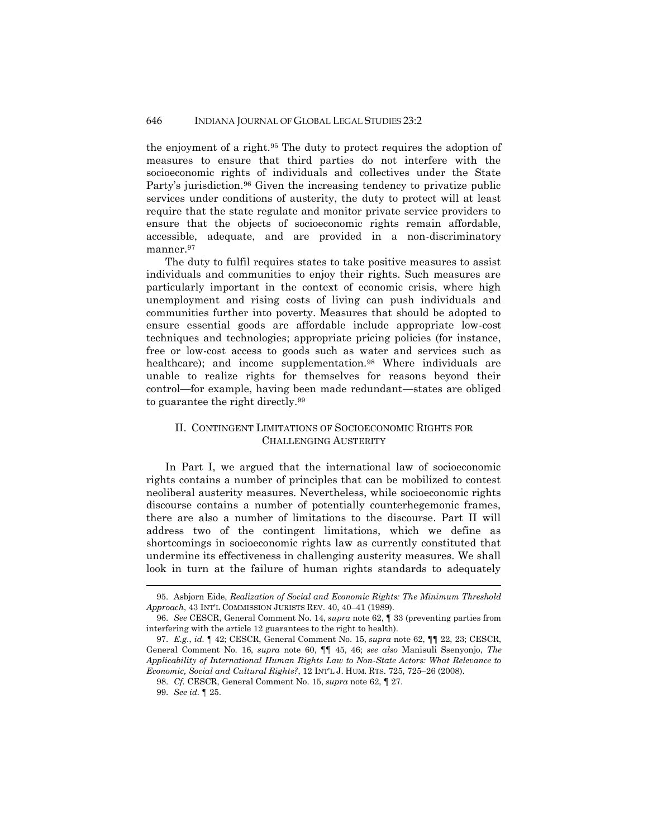the enjoyment of a right.<sup>95</sup> The duty to protect requires the adoption of measures to ensure that third parties do not interfere with the socioeconomic rights of individuals and collectives under the State Party's jurisdiction.<sup>96</sup> Given the increasing tendency to privatize public services under conditions of austerity, the duty to protect will at least require that the state regulate and monitor private service providers to ensure that the objects of socioeconomic rights remain affordable, accessible, adequate, and are provided in a non-discriminatory manner.<sup>97</sup>

The duty to fulfil requires states to take positive measures to assist individuals and communities to enjoy their rights. Such measures are particularly important in the context of economic crisis, where high unemployment and rising costs of living can push individuals and communities further into poverty. Measures that should be adopted to ensure essential goods are affordable include appropriate low-cost techniques and technologies; appropriate pricing policies (for instance, free or low-cost access to goods such as water and services such as healthcare); and income supplementation.<sup>98</sup> Where individuals are unable to realize rights for themselves for reasons beyond their control—for example, having been made redundant—states are obliged to guarantee the right directly.<sup>99</sup>

#### II. CONTINGENT LIMITATIONS OF SOCIOECONOMIC RIGHTS FOR CHALLENGING AUSTERITY

In Part I, we argued that the international law of socioeconomic rights contains a number of principles that can be mobilized to contest neoliberal austerity measures. Nevertheless, while socioeconomic rights discourse contains a number of potentially counterhegemonic frames, there are also a number of limitations to the discourse. Part II will address two of the contingent limitations, which we define as shortcomings in socioeconomic rights law as currently constituted that undermine its effectiveness in challenging austerity measures. We shall look in turn at the failure of human rights standards to adequately

<sup>95.</sup> Asbjørn Eide, *Realization of Social and Economic Rights: The Minimum Threshold Approach*, 43 INT'L COMMISSION JURISTS REV. 40, 40–41 (1989).

<sup>96.</sup> *See* CESCR, General Comment No. 14, *supra* note 62, ¶ 33 (preventing parties from interfering with the article 12 guarantees to the right to health).

<sup>97.</sup> *E.g.*, *id.* ¶ 42; CESCR, General Comment No. 15, *supra* note 62, ¶¶ 22, 23; CESCR, General Comment No. 16, *supra* note 60, ¶¶ 45, 46; *see also* Manisuli Ssenyonjo, *The Applicability of International Human Rights Law to Non-State Actors: What Relevance to Economic, Social and Cultural Rights?*, 12 INT'L J. HUM. RTS. 725, 725–26 (2008).

<sup>98.</sup> *Cf.* CESCR, General Comment No. 15, *supra* note 62, ¶ 27.

<sup>99.</sup> *See id.* ¶ 25.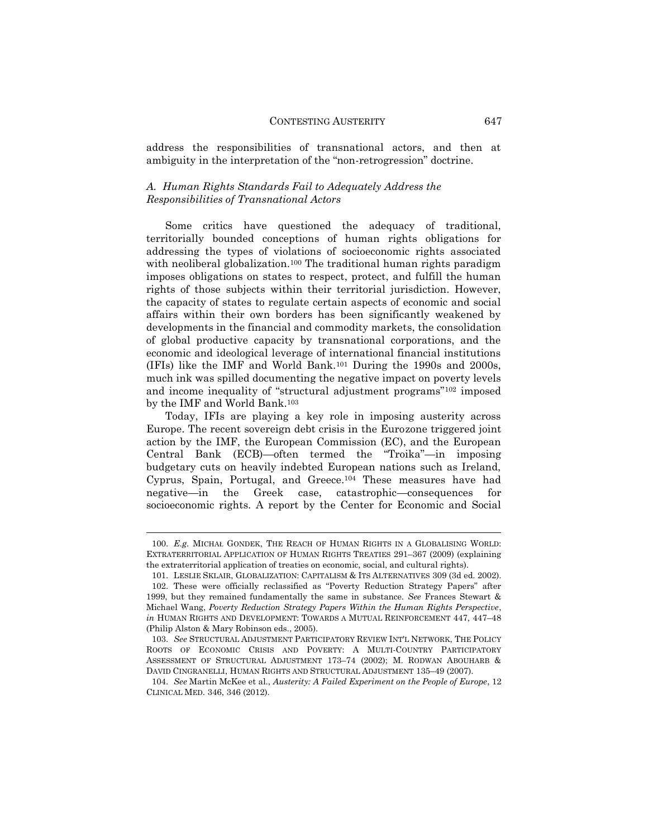address the responsibilities of transnational actors, and then at ambiguity in the interpretation of the "non-retrogression" doctrine.

#### *A. Human Rights Standards Fail to Adequately Address the Responsibilities of Transnational Actors*

Some critics have questioned the adequacy of traditional, territorially bounded conceptions of human rights obligations for addressing the types of violations of socioeconomic rights associated with neoliberal globalization.<sup>100</sup> The traditional human rights paradigm imposes obligations on states to respect, protect, and fulfill the human rights of those subjects within their territorial jurisdiction. However, the capacity of states to regulate certain aspects of economic and social affairs within their own borders has been significantly weakened by developments in the financial and commodity markets, the consolidation of global productive capacity by transnational corporations, and the economic and ideological leverage of international financial institutions (IFIs) like the IMF and World Bank.<sup>101</sup> During the 1990s and 2000s, much ink was spilled documenting the negative impact on poverty levels and income inequality of "structural adjustment programs"<sup>102</sup> imposed by the IMF and World Bank.<sup>103</sup>

Today, IFIs are playing a key role in imposing austerity across Europe. The recent sovereign debt crisis in the Eurozone triggered joint action by the IMF, the European Commission (EC), and the European Central Bank (ECB)—often termed the "Troika"—in imposing budgetary cuts on heavily indebted European nations such as Ireland, Cyprus, Spain, Portugal, and Greece.<sup>104</sup> These measures have had negative—in the Greek case, catastrophic—consequences for socioeconomic rights. A report by the Center for Economic and Social

<sup>100.</sup> *E.g.* MICHAŁ GONDEK, THE REACH OF HUMAN RIGHTS IN A GLOBALISING WORLD: EXTRATERRITORIAL APPLICATION OF HUMAN RIGHTS TREATIES 291–367 (2009) (explaining the extraterritorial application of treaties on economic, social, and cultural rights).

<sup>101.</sup> LESLIE SKLAIR, GLOBALIZATION: CAPITALISM & ITS ALTERNATIVES 309 (3d ed. 2002).

<sup>102.</sup> These were officially reclassified as "Poverty Reduction Strategy Papers" after 1999, but they remained fundamentally the same in substance. *See* Frances Stewart & Michael Wang, *Poverty Reduction Strategy Papers Within the Human Rights Perspective*, *in* HUMAN RIGHTS AND DEVELOPMENT: TOWARDS A MUTUAL REINFORCEMENT 447, 447–48 (Philip Alston & Mary Robinson eds., 2005).

<sup>103.</sup> *See* STRUCTURAL ADJUSTMENT PARTICIPATORY REVIEW INT'L NETWORK, THE POLICY ROOTS OF ECONOMIC CRISIS AND POVERTY: A MULTI-COUNTRY PARTICIPATORY ASSESSMENT OF STRUCTURAL ADJUSTMENT 173–74 (2002); M. RODWAN ABOUHARB & DAVID CINGRANELLI, HUMAN RIGHTS AND STRUCTURAL ADJUSTMENT 135–49 (2007).

<sup>104.</sup> *See* Martin McKee et al., *Austerity: A Failed Experiment on the People of Europe*, 12 CLINICAL MED. 346, 346 (2012).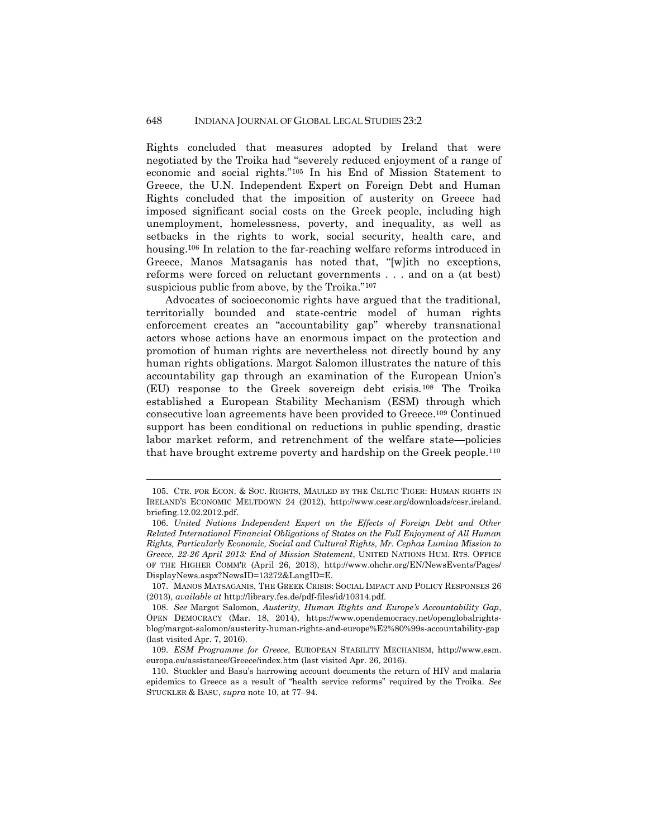Rights concluded that measures adopted by Ireland that were negotiated by the Troika had "severely reduced enjoyment of a range of economic and social rights."<sup>105</sup> In his End of Mission Statement to Greece, the U.N. Independent Expert on Foreign Debt and Human Rights concluded that the imposition of austerity on Greece had imposed significant social costs on the Greek people, including high unemployment, homelessness, poverty, and inequality, as well as setbacks in the rights to work, social security, health care, and housing.<sup>106</sup> In relation to the far-reaching welfare reforms introduced in Greece, Manos Matsaganis has noted that, "[w]ith no exceptions, reforms were forced on reluctant governments . . . and on a (at best) suspicious public from above, by the Troika."<sup>107</sup>

Advocates of socioeconomic rights have argued that the traditional, territorially bounded and state-centric model of human rights enforcement creates an "accountability gap" whereby transnational actors whose actions have an enormous impact on the protection and promotion of human rights are nevertheless not directly bound by any human rights obligations. Margot Salomon illustrates the nature of this accountability gap through an examination of the European Union's (EU) response to the Greek sovereign debt crisis.<sup>108</sup> The Troika established a European Stability Mechanism (ESM) through which consecutive loan agreements have been provided to Greece.<sup>109</sup> Continued support has been conditional on reductions in public spending, drastic labor market reform, and retrenchment of the welfare state—policies that have brought extreme poverty and hardship on the Greek people.<sup>110</sup>

<sup>105.</sup> CTR. FOR ECON. & SOC. RIGHTS, MAULED BY THE CELTIC TIGER: HUMAN RIGHTS IN IRELAND'S ECONOMIC MELTDOWN 24 (2012), http://www.cesr.org/downloads/cesr.ireland. briefing.12.02.2012.pdf.

<sup>106.</sup> *United Nations Independent Expert on the Effects of Foreign Debt and Other Related International Financial Obligations of States on the Full Enjoyment of All Human Rights, Particularly Economic, Social and Cultural Rights, Mr. Cephas Lumina Mission to Greece, 22-26 April 2013: End of Mission Statement*, UNITED NATIONS HUM. RTS. OFFICE OF THE HIGHER COMM'R (April 26, 2013), http://www.ohchr.org/EN/NewsEvents/Pages/ DisplayNews.aspx?NewsID=13272&LangID=E.

<sup>107.</sup> MANOS MATSAGANIS, THE GREEK CRISIS: SOCIAL IMPACT AND POLICY RESPONSES 26 (2013), *available at* http://library.fes.de/pdf-files/id/10314.pdf.

<sup>108.</sup> *See* Margot Salomon, *Austerity, Human Rights and Europe's Accountability Gap*, OPEN DEMOCRACY (Mar. 18, 2014), https://www.opendemocracy.net/openglobalrightsblog/margot-salomon/austerity-human-rights-and-europe%E2%80%99s-accountability-gap (last visited Apr. 7, 2016).

<sup>109.</sup> *ESM Programme for Greece*, EUROPEAN STABILITY MECHANISM, http://www.esm. europa.eu/assistance/Greece/index.htm (last visited Apr. 26, 2016).

<sup>110.</sup> Stuckler and Basu's harrowing account documents the return of HIV and malaria epidemics to Greece as a result of "health service reforms" required by the Troika. *See* STUCKLER & BASU, *supra* note 10, at 77–94.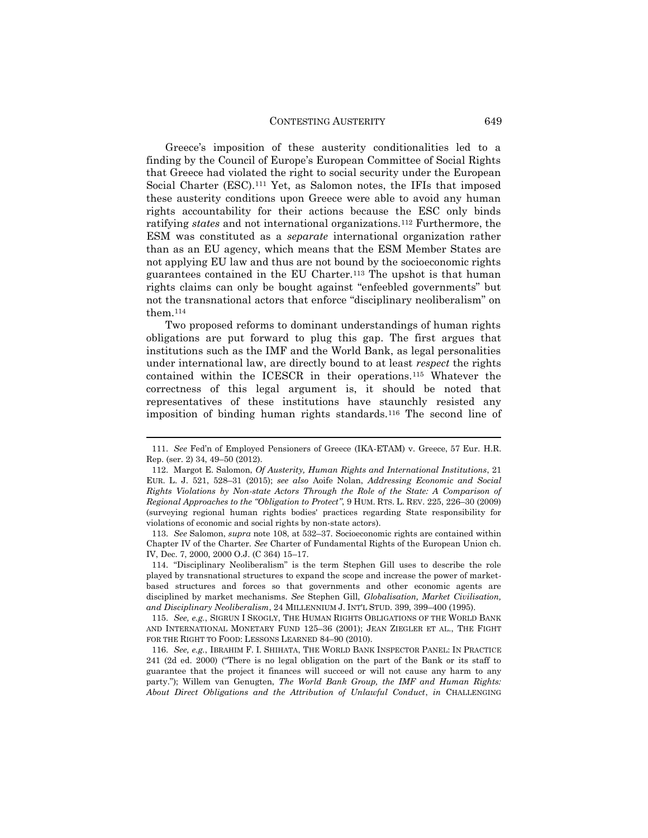Greece's imposition of these austerity conditionalities led to a finding by the Council of Europe's European Committee of Social Rights that Greece had violated the right to social security under the European Social Charter (ESC).<sup>111</sup> Yet, as Salomon notes, the IFIs that imposed these austerity conditions upon Greece were able to avoid any human rights accountability for their actions because the ESC only binds ratifying *states* and not international organizations.<sup>112</sup> Furthermore, the ESM was constituted as a *separate* international organization rather than as an EU agency, which means that the ESM Member States are not applying EU law and thus are not bound by the socioeconomic rights guarantees contained in the EU Charter.<sup>113</sup> The upshot is that human rights claims can only be bought against "enfeebled governments" but not the transnational actors that enforce "disciplinary neoliberalism" on them.<sup>114</sup>

Two proposed reforms to dominant understandings of human rights obligations are put forward to plug this gap. The first argues that institutions such as the IMF and the World Bank, as legal personalities under international law, are directly bound to at least *respect* the rights contained within the ICESCR in their operations.<sup>115</sup> Whatever the correctness of this legal argument is, it should be noted that representatives of these institutions have staunchly resisted any imposition of binding human rights standards.<sup>116</sup> The second line of

1

113. *See* Salomon, *supra* note 108, at 532–37. Socioeconomic rights are contained within Chapter IV of the Charter. *See* Charter of Fundamental Rights of the European Union ch. IV, Dec. 7, 2000, 2000 O.J. (C 364) 15–17.

114. "Disciplinary Neoliberalism" is the term Stephen Gill uses to describe the role played by transnational structures to expand the scope and increase the power of marketbased structures and forces so that governments and other economic agents are disciplined by market mechanisms. *See* Stephen Gill, *Globalisation, Market Civilisation, and Disciplinary Neoliberalism*, 24 MILLENNIUM J. INT'L STUD. 399, 399–400 (1995).

115. *See, e.g.*, SIGRUN I SKOGLY, THE HUMAN RIGHTS OBLIGATIONS OF THE WORLD BANK AND INTERNATIONAL MONETARY FUND 125–36 (2001); JEAN ZIEGLER ET AL., THE FIGHT FOR THE RIGHT TO FOOD: LESSONS LEARNED 84–90 (2010).

116. *See, e.g.*, IBRAHIM F. I. SHIHATA, THE WORLD BANK INSPECTOR PANEL: IN PRACTICE 241 (2d ed. 2000) ("There is no legal obligation on the part of the Bank or its staff to guarantee that the project it finances will succeed or will not cause any harm to any party."); Willem van Genugten, *The World Bank Group, the IMF and Human Rights: About Direct Obligations and the Attribution of Unlawful Conduct*, *in* CHALLENGING

<sup>111.</sup> *See* Fed'n of Employed Pensioners of Greece (IKA-ETAM) v. Greece, 57 Eur. H.R. Rep. (ser. 2) 34, 49–50 (2012).

<sup>112.</sup> Margot E. Salomon, *Of Austerity, Human Rights and International Institutions*, 21 EUR. L. J. 521, 528–31 (2015); *see also* Aoife Nolan, *Addressing Economic and Social Rights Violations by Non-state Actors Through the Role of the State: A Comparison of Regional Approaches to the "Obligation to Protect"*, 9 HUM. RTS. L. REV. 225, 226–30 (2009) (surveying regional human rights bodies' practices regarding State responsibility for violations of economic and social rights by non-state actors).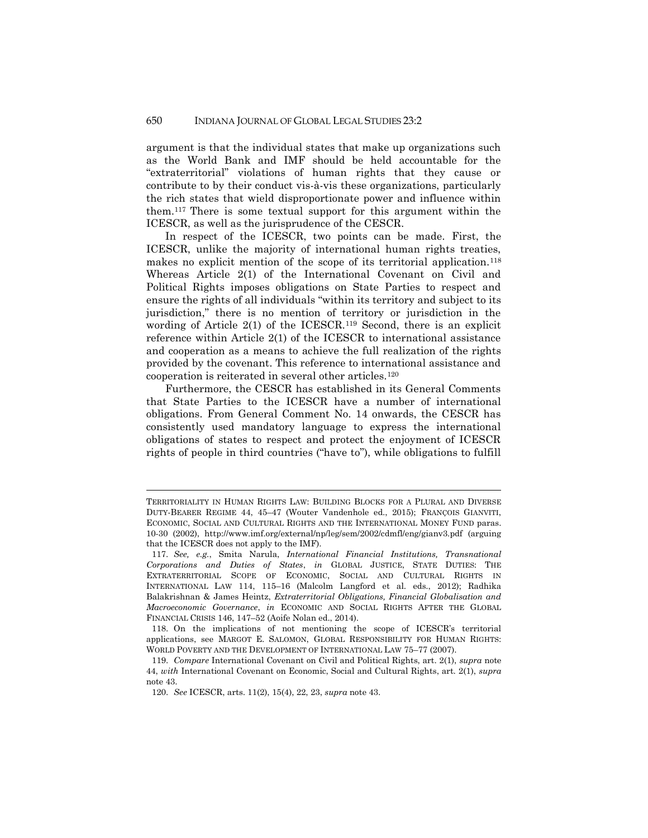argument is that the individual states that make up organizations such as the World Bank and IMF should be held accountable for the "extraterritorial" violations of human rights that they cause or contribute to by their conduct vis-à-vis these organizations, particularly the rich states that wield disproportionate power and influence within them.<sup>117</sup> There is some textual support for this argument within the ICESCR, as well as the jurisprudence of the CESCR.

In respect of the ICESCR, two points can be made. First, the ICESCR, unlike the majority of international human rights treaties, makes no explicit mention of the scope of its territorial application.<sup>118</sup> Whereas Article 2(1) of the International Covenant on Civil and Political Rights imposes obligations on State Parties to respect and ensure the rights of all individuals "within its territory and subject to its jurisdiction," there is no mention of territory or jurisdiction in the wording of Article 2(1) of the ICESCR.<sup>119</sup> Second, there is an explicit reference within Article 2(1) of the ICESCR to international assistance and cooperation as a means to achieve the full realization of the rights provided by the covenant. This reference to international assistance and cooperation is reiterated in several other articles.<sup>120</sup>

Furthermore, the CESCR has established in its General Comments that State Parties to the ICESCR have a number of international obligations. From General Comment No. 14 onwards, the CESCR has consistently used mandatory language to express the international obligations of states to respect and protect the enjoyment of ICESCR rights of people in third countries ("have to"), while obligations to fulfill

TERRITORIALITY IN HUMAN RIGHTS LAW: BUILDING BLOCKS FOR A PLURAL AND DIVERSE DUTY-BEARER REGIME 44, 45–47 (Wouter Vandenhole ed., 2015); FRANÇOIS GIANVITI, ECONOMIC, SOCIAL AND CULTURAL RIGHTS AND THE INTERNATIONAL MONEY FUND paras. 10-30 (2002), http://www.imf.org/external/np/leg/sem/2002/cdmfl/eng/gianv3.pdf (arguing that the ICESCR does not apply to the IMF).

<sup>117.</sup> *See, e.g.*, Smita Narula, *International Financial Institutions, Transnational Corporations and Duties of States*, *in* GLOBAL JUSTICE, STATE DUTIES: THE EXTRATERRITORIAL SCOPE OF ECONOMIC, SOCIAL AND CULTURAL RIGHTS IN INTERNATIONAL LAW 114, 115–16 (Malcolm Langford et al. eds., 2012); Radhika Balakrishnan & James Heintz, *Extraterritorial Obligations, Financial Globalisation and Macroeconomic Governance*, *in* ECONOMIC AND SOCIAL RIGHTS AFTER THE GLOBAL FINANCIAL CRISIS 146, 147–52 (Aoife Nolan ed., 2014).

<sup>118.</sup> On the implications of not mentioning the scope of ICESCR's territorial applications, see MARGOT E. SALOMON, GLOBAL RESPONSIBILITY FOR HUMAN RIGHTS: WORLD POVERTY AND THE DEVELOPMENT OF INTERNATIONAL LAW 75–77 (2007).

<sup>119.</sup> *Compare* International Covenant on Civil and Political Rights, art. 2(1), *supra* note 44, *with* International Covenant on Economic, Social and Cultural Rights, art. 2(1), *supra* note 43.

<sup>120.</sup> *See* ICESCR, arts. 11(2), 15(4), 22, 23, *supra* note 43.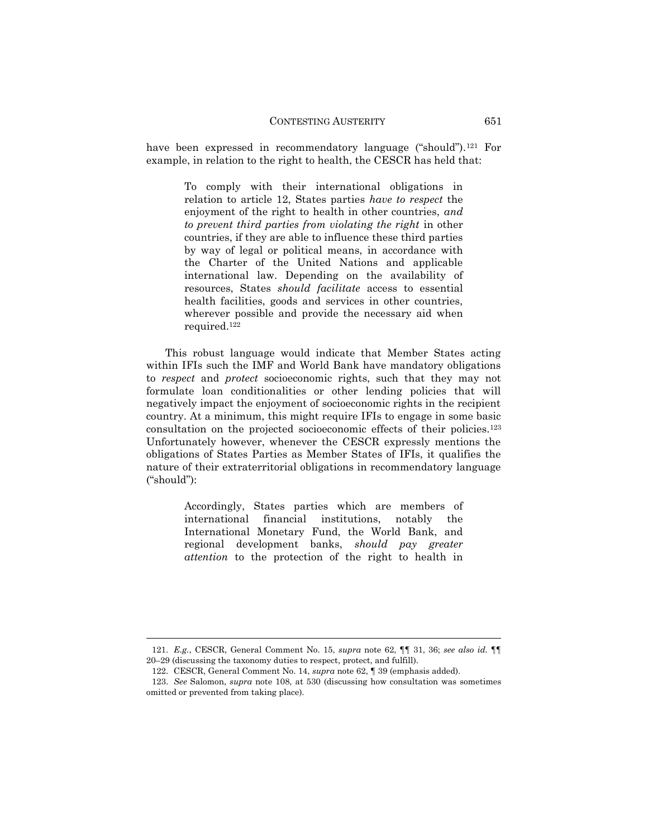have been expressed in recommendatory language ("should").<sup>121</sup> For example, in relation to the right to health, the CESCR has held that:

> To comply with their international obligations in relation to article 12, States parties *have to respect* the enjoyment of the right to health in other countries, *and to prevent third parties from violating the right* in other countries, if they are able to influence these third parties by way of legal or political means, in accordance with the Charter of the United Nations and applicable international law. Depending on the availability of resources, States *should facilitate* access to essential health facilities, goods and services in other countries, wherever possible and provide the necessary aid when required.<sup>122</sup>

This robust language would indicate that Member States acting within IFIs such the IMF and World Bank have mandatory obligations to *respect* and *protect* socioeconomic rights, such that they may not formulate loan conditionalities or other lending policies that will negatively impact the enjoyment of socioeconomic rights in the recipient country. At a minimum, this might require IFIs to engage in some basic consultation on the projected socioeconomic effects of their policies.<sup>123</sup> Unfortunately however, whenever the CESCR expressly mentions the obligations of States Parties as Member States of IFIs, it qualifies the nature of their extraterritorial obligations in recommendatory language ("should"):

> Accordingly, States parties which are members of international financial institutions, notably the International Monetary Fund, the World Bank, and regional development banks, *should pay greater attention* to the protection of the right to health in

<sup>121.</sup> *E.g.*, CESCR, General Comment No. 15, *supra* note 62, ¶¶ 31, 36; *see also id.* ¶¶ 20–29 (discussing the taxonomy duties to respect, protect, and fulfill).

<sup>122.</sup> CESCR, General Comment No. 14, *supra* note 62, ¶ 39 (emphasis added).

<sup>123.</sup> *See* Salomon, *supra* note 108, at 530 (discussing how consultation was sometimes omitted or prevented from taking place).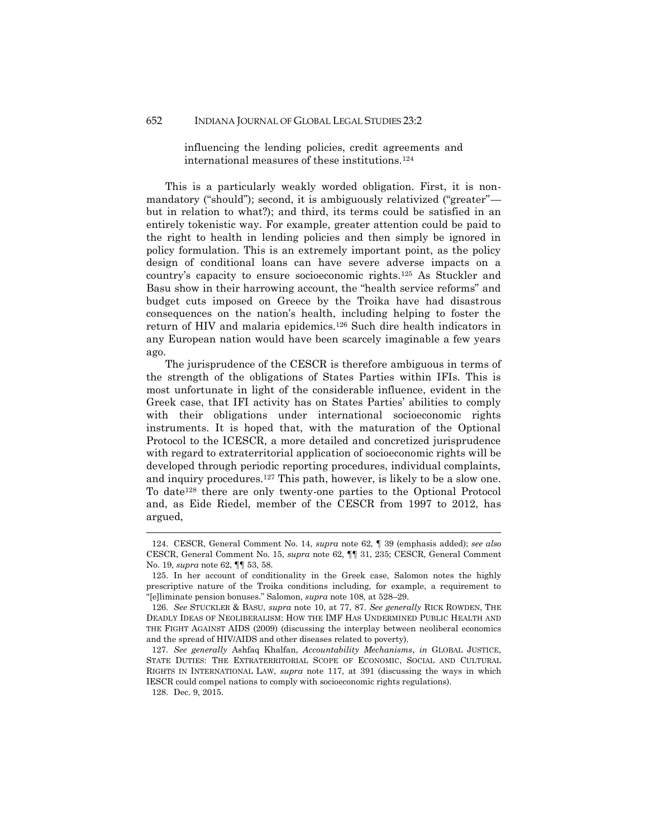This is a particularly weakly worded obligation. First, it is nonmandatory ("should"); second, it is ambiguously relativized ("greater" but in relation to what?); and third, its terms could be satisfied in an entirely tokenistic way. For example, greater attention could be paid to the right to health in lending policies and then simply be ignored in policy formulation. This is an extremely important point, as the policy design of conditional loans can have severe adverse impacts on a country's capacity to ensure socioeconomic rights.<sup>125</sup> As Stuckler and Basu show in their harrowing account, the "health service reforms" and budget cuts imposed on Greece by the Troika have had disastrous consequences on the nation's health, including helping to foster the return of HIV and malaria epidemics.<sup>126</sup> Such dire health indicators in any European nation would have been scarcely imaginable a few years ago.

The jurisprudence of the CESCR is therefore ambiguous in terms of the strength of the obligations of States Parties within IFIs. This is most unfortunate in light of the considerable influence, evident in the Greek case, that IFI activity has on States Parties' abilities to comply with their obligations under international socioeconomic rights instruments. It is hoped that, with the maturation of the Optional Protocol to the ICESCR, a more detailed and concretized jurisprudence with regard to extraterritorial application of socioeconomic rights will be developed through periodic reporting procedures, individual complaints, and inquiry procedures.<sup>127</sup> This path, however, is likely to be a slow one. To date<sup>128</sup> there are only twenty-one parties to the Optional Protocol and, as Eide Riedel, member of the CESCR from 1997 to 2012, has argued,

influencing the lending policies, credit agreements and international measures of these institutions.<sup>124</sup>

<sup>124.</sup> CESCR, General Comment No. 14, *supra* note 62, ¶ 39 (emphasis added); *see also* CESCR, General Comment No. 15, *supra* note 62, ¶¶ 31, 235; CESCR, General Comment No. 19, *supra* note 62, ¶¶ 53, 58.

<sup>125.</sup> In her account of conditionality in the Greek case, Salomon notes the highly prescriptive nature of the Troika conditions including, for example, a requirement to "[e]liminate pension bonuses." Salomon, *supra* note 108, at 528–29.

<sup>126.</sup> *See* STUCKLER & BASU, *supra* note 10, at 77, 87. *See generally* RICK ROWDEN, THE DEADLY IDEAS OF NEOLIBERALISM: HOW THE IMF HAS UNDERMINED PUBLIC HEALTH AND THE FIGHT AGAINST AIDS (2009) (discussing the interplay between neoliberal economics and the spread of HIV/AIDS and other diseases related to poverty).

<sup>127.</sup> *See generally* Ashfaq Khalfan, *Accountability Mechanisms*, *in* GLOBAL JUSTICE, STATE DUTIES: THE EXTRATERRITORIAL SCOPE OF ECONOMIC, SOCIAL AND CULTURAL RIGHTS IN INTERNATIONAL LAW, *supra* note 117, at 391 (discussing the ways in which IESCR could compel nations to comply with socioeconomic rights regulations).

<sup>128.</sup> Dec. 9, 2015.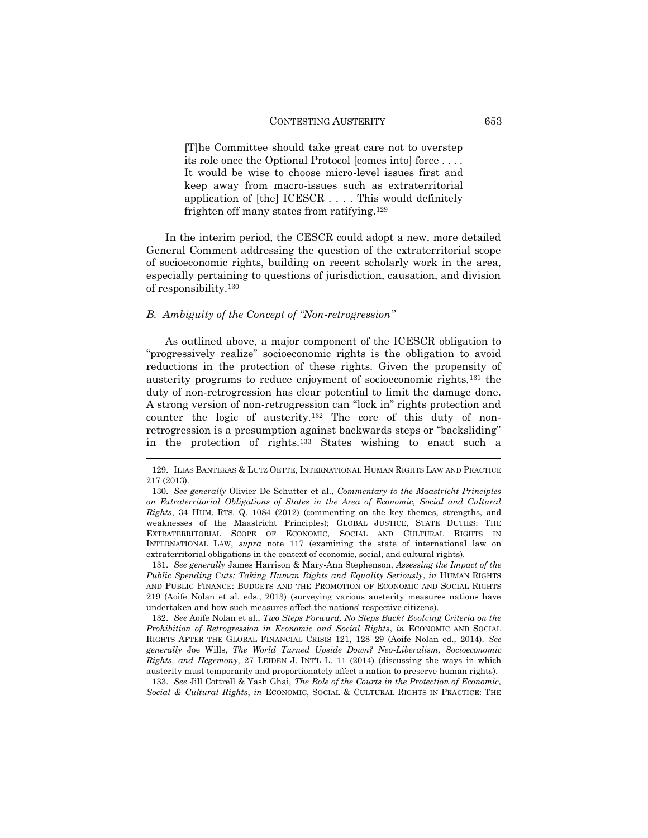[T]he Committee should take great care not to overstep its role once the Optional Protocol [comes into] force . . . . It would be wise to choose micro-level issues first and keep away from macro-issues such as extraterritorial application of [the] ICESCR . . . . This would definitely frighten off many states from ratifying.<sup>129</sup>

In the interim period, the CESCR could adopt a new, more detailed General Comment addressing the question of the extraterritorial scope of socioeconomic rights, building on recent scholarly work in the area, especially pertaining to questions of jurisdiction, causation, and division of responsibility.<sup>130</sup>

#### *B. Ambiguity of the Concept of "Non-retrogression"*

 $\overline{a}$ 

As outlined above, a major component of the ICESCR obligation to "progressively realize" socioeconomic rights is the obligation to avoid reductions in the protection of these rights. Given the propensity of austerity programs to reduce enjoyment of socioeconomic rights,<sup>131</sup> the duty of non-retrogression has clear potential to limit the damage done. A strong version of non-retrogression can "lock in" rights protection and counter the logic of austerity.<sup>132</sup> The core of this duty of nonretrogression is a presumption against backwards steps or "backsliding" in the protection of rights.<sup>133</sup> States wishing to enact such a

131. *See generally* James Harrison & Mary-Ann Stephenson, *Assessing the Impact of the Public Spending Cuts: Taking Human Rights and Equality Seriously*, *in* HUMAN RIGHTS AND PUBLIC FINANCE: BUDGETS AND THE PROMOTION OF ECONOMIC AND SOCIAL RIGHTS 219 (Aoife Nolan et al. eds., 2013) (surveying various austerity measures nations have undertaken and how such measures affect the nations' respective citizens).

132. *See* Aoife Nolan et al., *Two Steps Forward, No Steps Back? Evolving Criteria on the Prohibition of Retrogression in Economic and Social Rights*, *in* ECONOMIC AND SOCIAL RIGHTS AFTER THE GLOBAL FINANCIAL CRISIS 121, 128–29 (Aoife Nolan ed., 2014). *See generally* Joe Wills, *The World Turned Upside Down? Neo-Liberalism, Socioeconomic Rights, and Hegemony*, 27 LEIDEN J. INT'L L. 11 (2014) (discussing the ways in which austerity must temporarily and proportionately affect a nation to preserve human rights).

133. *See* Jill Cottrell & Yash Ghai, *The Role of the Courts in the Protection of Economic, Social & Cultural Rights*, *in* ECONOMIC, SOCIAL & CULTURAL RIGHTS IN PRACTICE: THE

<sup>129.</sup> ILIAS BANTEKAS & LUTZ OETTE, INTERNATIONAL HUMAN RIGHTS LAW AND PRACTICE 217 (2013).

<sup>130.</sup> *See generally* Olivier De Schutter et al., *Commentary to the Maastricht Principles on Extraterritorial Obligations of States in the Area of Economic, Social and Cultural Rights*, 34 HUM. RTS. Q. 1084 (2012) (commenting on the key themes, strengths, and weaknesses of the Maastricht Principles); GLOBAL JUSTICE, STATE DUTIES: THE EXTRATERRITORIAL SCOPE OF ECONOMIC, SOCIAL AND CULTURAL RIGHTS IN INTERNATIONAL LAW, *supra* note 117 (examining the state of international law on extraterritorial obligations in the context of economic, social, and cultural rights).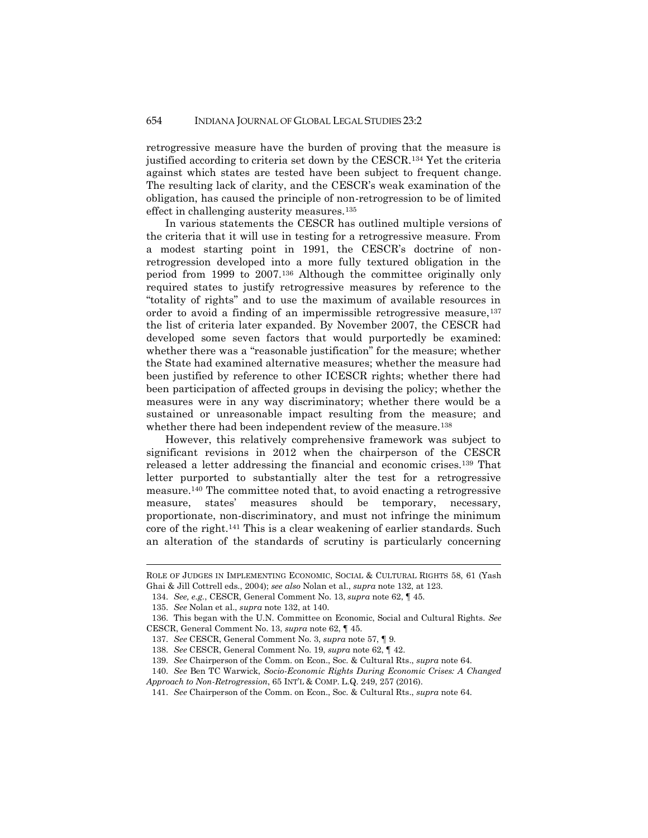retrogressive measure have the burden of proving that the measure is justified according to criteria set down by the CESCR.<sup>134</sup> Yet the criteria against which states are tested have been subject to frequent change. The resulting lack of clarity, and the CESCR's weak examination of the obligation, has caused the principle of non-retrogression to be of limited effect in challenging austerity measures.<sup>135</sup>

In various statements the CESCR has outlined multiple versions of the criteria that it will use in testing for a retrogressive measure. From a modest starting point in 1991, the CESCR's doctrine of nonretrogression developed into a more fully textured obligation in the period from 1999 to 2007.<sup>136</sup> Although the committee originally only required states to justify retrogressive measures by reference to the "totality of rights" and to use the maximum of available resources in order to avoid a finding of an impermissible retrogressive measure,<sup>137</sup> the list of criteria later expanded. By November 2007, the CESCR had developed some seven factors that would purportedly be examined: whether there was a "reasonable justification" for the measure; whether the State had examined alternative measures; whether the measure had been justified by reference to other ICESCR rights; whether there had been participation of affected groups in devising the policy; whether the measures were in any way discriminatory; whether there would be a sustained or unreasonable impact resulting from the measure; and whether there had been independent review of the measure.<sup>138</sup>

However, this relatively comprehensive framework was subject to significant revisions in 2012 when the chairperson of the CESCR released a letter addressing the financial and economic crises.<sup>139</sup> That letter purported to substantially alter the test for a retrogressive measure.<sup>140</sup> The committee noted that, to avoid enacting a retrogressive measure, states' measures should be temporary, necessary, proportionate, non-discriminatory, and must not infringe the minimum core of the right.<sup>141</sup> This is a clear weakening of earlier standards. Such an alteration of the standards of scrutiny is particularly concerning

ROLE OF JUDGES IN IMPLEMENTING ECONOMIC, SOCIAL & CULTURAL RIGHTS 58, 61 (Yash Ghai & Jill Cottrell eds., 2004); *see also* Nolan et al., *supra* note 132, at 123.

<sup>134.</sup> *See, e.g.*, CESCR, General Comment No. 13, *supra* note 62, ¶ 45.

<sup>135.</sup> *See* Nolan et al., *supra* note 132, at 140.

<sup>136.</sup> This began with the U.N. Committee on Economic, Social and Cultural Rights. *See* CESCR, General Comment No. 13, *supra* note 62, ¶ 45.

<sup>137.</sup> *See* CESCR, General Comment No. 3, *supra* note 57, ¶ 9.

<sup>138.</sup> *See* CESCR, General Comment No. 19, *supra* note 62, ¶ 42.

<sup>139.</sup> *See* Chairperson of the Comm. on Econ., Soc. & Cultural Rts., *supra* note 64.

<sup>140.</sup> *See* Ben TC Warwick, *Socio-Economic Rights During Economic Crises: A Changed Approach to Non-Retrogression*, 65 INT'L & COMP. L.Q. 249, 257 (2016).

<sup>141.</sup> *See* Chairperson of the Comm. on Econ., Soc. & Cultural Rts., *supra* note 64.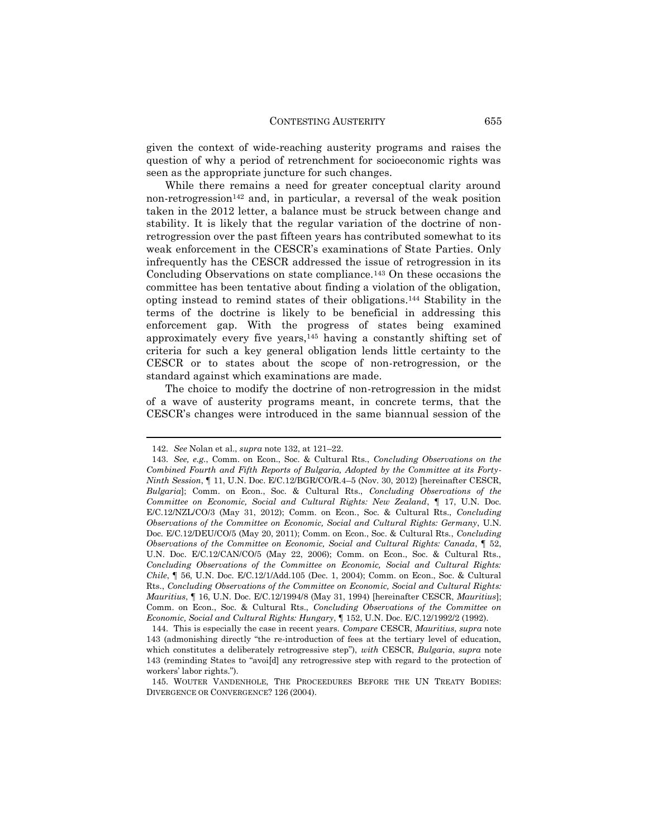given the context of wide-reaching austerity programs and raises the question of why a period of retrenchment for socioeconomic rights was seen as the appropriate juncture for such changes.

While there remains a need for greater conceptual clarity around non-retrogression<sup>142</sup> and, in particular, a reversal of the weak position taken in the 2012 letter, a balance must be struck between change and stability. It is likely that the regular variation of the doctrine of nonretrogression over the past fifteen years has contributed somewhat to its weak enforcement in the CESCR's examinations of State Parties. Only infrequently has the CESCR addressed the issue of retrogression in its Concluding Observations on state compliance.<sup>143</sup> On these occasions the committee has been tentative about finding a violation of the obligation, opting instead to remind states of their obligations.<sup>144</sup> Stability in the terms of the doctrine is likely to be beneficial in addressing this enforcement gap. With the progress of states being examined approximately every five years,<sup>145</sup> having a constantly shifting set of criteria for such a key general obligation lends little certainty to the CESCR or to states about the scope of non-retrogression, or the standard against which examinations are made.

The choice to modify the doctrine of non-retrogression in the midst of a wave of austerity programs meant, in concrete terms, that the CESCR's changes were introduced in the same biannual session of the

<sup>142.</sup> *See* Nolan et al., *supra* note 132, at 121–22.

<sup>143.</sup> *See, e.g.*, Comm. on Econ., Soc. & Cultural Rts., *Concluding Observations on the Combined Fourth and Fifth Reports of Bulgaria, Adopted by the Committee at its Forty-Ninth Session*, ¶ 11, U.N. Doc. E/C.12/BGR/CO/R.4–5 (Nov. 30, 2012) [hereinafter CESCR, *Bulgaria*]; Comm. on Econ., Soc. & Cultural Rts., *Concluding Observations of the Committee on Economic, Social and Cultural Rights: New Zealand*, ¶ 17, U.N. Doc. E/C.12/NZL/CO/3 (May 31, 2012); Comm. on Econ., Soc. & Cultural Rts., *Concluding Observations of the Committee on Economic, Social and Cultural Rights: Germany*, U.N. Doc. E/C.12/DEU/CO/5 (May 20, 2011); Comm. on Econ., Soc. & Cultural Rts., *Concluding Observations of the Committee on Economic, Social and Cultural Rights: Canada*, ¶ 52, U.N. Doc. E/C.12/CAN/CO/5 (May 22, 2006); Comm. on Econ., Soc. & Cultural Rts., *Concluding Observations of the Committee on Economic, Social and Cultural Rights: Chile*, ¶ 56, U.N. Doc. E/C.12/1/Add.105 (Dec. 1, 2004); Comm. on Econ., Soc. & Cultural Rts., *Concluding Observations of the Committee on Economic, Social and Cultural Rights: Mauritius*, ¶ 16, U.N. Doc. E/C.12/1994/8 (May 31, 1994) [hereinafter CESCR, *Mauritius*]; Comm. on Econ., Soc. & Cultural Rts., *Concluding Observations of the Committee on Economic, Social and Cultural Rights: Hungary*, ¶ 152, U.N. Doc. E/C.12/1992/2 (1992).

<sup>144.</sup> This is especially the case in recent years. *Compare* CESCR, *Mauritius*, *supra* note 143 (admonishing directly "the re-introduction of fees at the tertiary level of education, which constitutes a deliberately retrogressive step"), *with* CESCR, *Bulgaria*, *supra* note 143 (reminding States to "avoi[d] any retrogressive step with regard to the protection of workers' labor rights.").

<sup>145.</sup> WOUTER VANDENHOLE, THE PROCEEDURES BEFORE THE UN TREATY BODIES: DIVERGENCE OR CONVERGENCE? 126 (2004).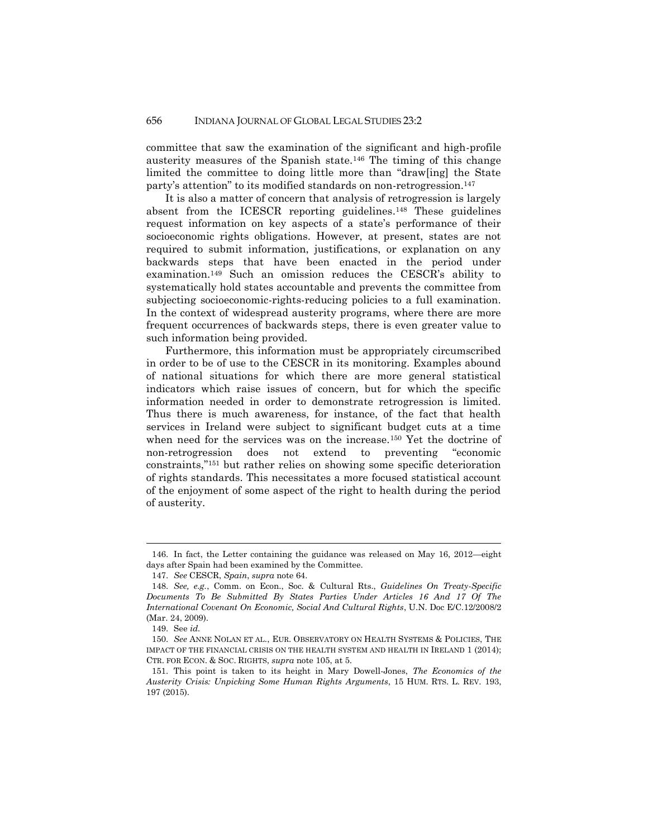committee that saw the examination of the significant and high-profile austerity measures of the Spanish state.<sup>146</sup> The timing of this change limited the committee to doing little more than "draw[ing] the State party's attention" to its modified standards on non-retrogression.<sup>147</sup>

It is also a matter of concern that analysis of retrogression is largely absent from the ICESCR reporting guidelines. <sup>148</sup> These guidelines request information on key aspects of a state's performance of their socioeconomic rights obligations. However, at present, states are not required to submit information, justifications, or explanation on any backwards steps that have been enacted in the period under examination.<sup>149</sup> Such an omission reduces the CESCR's ability to systematically hold states accountable and prevents the committee from subjecting socioeconomic-rights-reducing policies to a full examination. In the context of widespread austerity programs, where there are more frequent occurrences of backwards steps, there is even greater value to such information being provided.

Furthermore, this information must be appropriately circumscribed in order to be of use to the CESCR in its monitoring. Examples abound of national situations for which there are more general statistical indicators which raise issues of concern, but for which the specific information needed in order to demonstrate retrogression is limited. Thus there is much awareness, for instance, of the fact that health services in Ireland were subject to significant budget cuts at a time when need for the services was on the increase.<sup>150</sup> Yet the doctrine of non-retrogression does not extend to preventing "economic constraints,"<sup>151</sup> but rather relies on showing some specific deterioration of rights standards. This necessitates a more focused statistical account of the enjoyment of some aspect of the right to health during the period of austerity.

<sup>146.</sup> In fact, the Letter containing the guidance was released on May 16, 2012—eight days after Spain had been examined by the Committee.

<sup>147.</sup> *See* CESCR, *Spain*, *supra* note 64.

<sup>148.</sup> *See, e.g.*, Comm. on Econ., Soc. & Cultural Rts., *Guidelines On Treaty-Specific Documents To Be Submitted By States Parties Under Articles 16 And 17 Of The International Covenant On Economic, Social And Cultural Rights*, U.N. Doc E/C.12/2008/2 (Mar. 24, 2009).

<sup>149.</sup> See *id.*

<sup>150.</sup> *See* ANNE NOLAN ET AL., EUR. OBSERVATORY ON HEALTH SYSTEMS & POLICIES, THE IMPACT OF THE FINANCIAL CRISIS ON THE HEALTH SYSTEM AND HEALTH IN IRELAND 1 (2014); CTR. FOR ECON. & SOC. RIGHTS, *supra* note 105, at 5.

<sup>151.</sup> This point is taken to its height in Mary Dowell-Jones, *The Economics of the Austerity Crisis: Unpicking Some Human Rights Arguments*, 15 HUM. RTS. L. REV. 193, 197 (2015).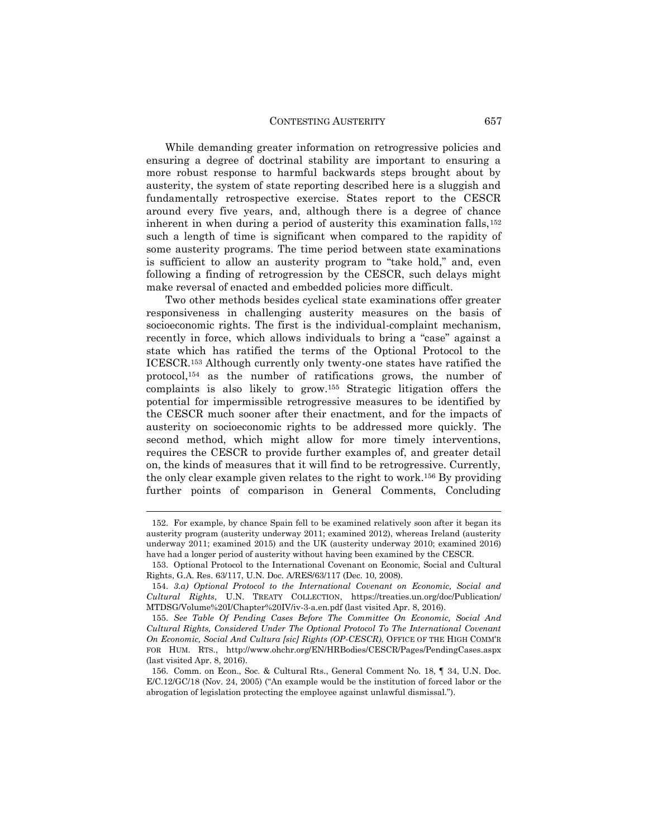While demanding greater information on retrogressive policies and ensuring a degree of doctrinal stability are important to ensuring a more robust response to harmful backwards steps brought about by austerity, the system of state reporting described here is a sluggish and fundamentally retrospective exercise. States report to the CESCR around every five years, and, although there is a degree of chance inherent in when during a period of austerity this examination falls,<sup>152</sup> such a length of time is significant when compared to the rapidity of some austerity programs. The time period between state examinations is sufficient to allow an austerity program to "take hold," and, even following a finding of retrogression by the CESCR, such delays might make reversal of enacted and embedded policies more difficult.

Two other methods besides cyclical state examinations offer greater responsiveness in challenging austerity measures on the basis of socioeconomic rights. The first is the individual-complaint mechanism, recently in force, which allows individuals to bring a "case" against a state which has ratified the terms of the Optional Protocol to the ICESCR.<sup>153</sup> Although currently only twenty-one states have ratified the protocol,<sup>154</sup> as the number of ratifications grows, the number of complaints is also likely to grow.<sup>155</sup> Strategic litigation offers the potential for impermissible retrogressive measures to be identified by the CESCR much sooner after their enactment, and for the impacts of austerity on socioeconomic rights to be addressed more quickly. The second method, which might allow for more timely interventions, requires the CESCR to provide further examples of, and greater detail on, the kinds of measures that it will find to be retrogressive. Currently, the only clear example given relates to the right to work.<sup>156</sup> By providing further points of comparison in General Comments, Concluding

<sup>152.</sup> For example, by chance Spain fell to be examined relatively soon after it began its austerity program (austerity underway 2011; examined 2012), whereas Ireland (austerity underway 2011; examined 2015) and the UK (austerity underway 2010; examined 2016) have had a longer period of austerity without having been examined by the CESCR.

<sup>153.</sup> Optional Protocol to the International Covenant on Economic, Social and Cultural Rights, G.A. Res. 63/117, U.N. Doc. A/RES/63/117 (Dec. 10, 2008).

<sup>154.</sup> *3.a) Optional Protocol to the International Covenant on Economic, Social and Cultural Rights*, U.N. TREATY COLLECTION, https://treaties.un.org/doc/Publication/ MTDSG/Volume%20I/Chapter%20IV/iv-3-a.en.pdf (last visited Apr. 8, 2016).

<sup>155.</sup> *See Table Of Pending Cases Before The Committee On Economic, Social And Cultural Rights, Considered Under The Optional Protocol To The International Covenant On Economic, Social And Cultura [sic] Rights (OP-CESCR)*, OFFICE OF THE HIGH COMM'R FOR HUM. RTS., http://www.ohchr.org/EN/HRBodies/CESCR/Pages/PendingCases.aspx (last visited Apr. 8, 2016).

<sup>156.</sup> Comm. on Econ., Soc. & Cultural Rts., General Comment No. 18, ¶ 34, U.N. Doc. E/C.12/GC/18 (Nov. 24, 2005) ("An example would be the institution of forced labor or the abrogation of legislation protecting the employee against unlawful dismissal.").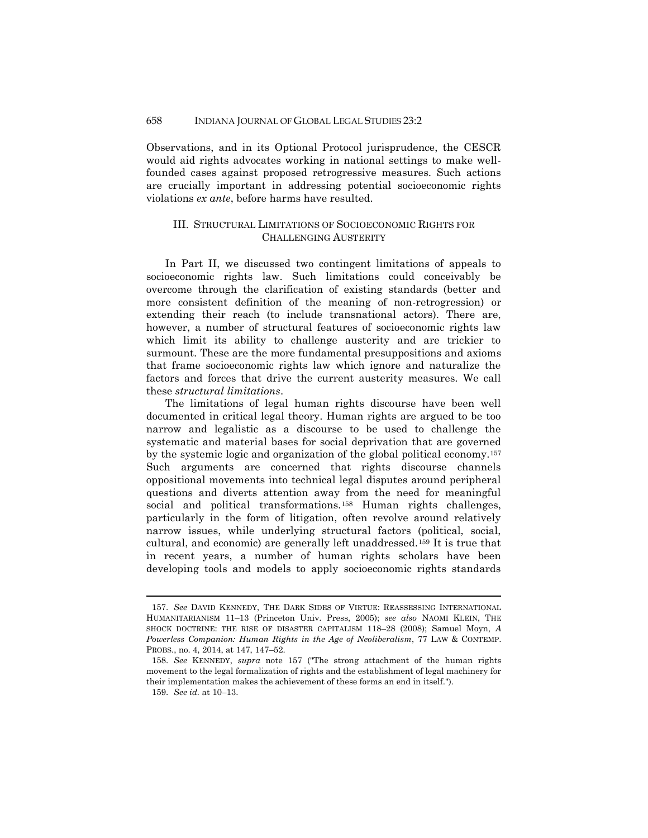#### 658 INDIANA JOURNAL OF GLOBAL LEGAL STUDIES 23:2

Observations, and in its Optional Protocol jurisprudence, the CESCR would aid rights advocates working in national settings to make wellfounded cases against proposed retrogressive measures. Such actions are crucially important in addressing potential socioeconomic rights violations *ex ante*, before harms have resulted.

#### III. STRUCTURAL LIMITATIONS OF SOCIOECONOMIC RIGHTS FOR CHALLENGING AUSTERITY

In Part II, we discussed two contingent limitations of appeals to socioeconomic rights law. Such limitations could conceivably be overcome through the clarification of existing standards (better and more consistent definition of the meaning of non-retrogression) or extending their reach (to include transnational actors). There are, however, a number of structural features of socioeconomic rights law which limit its ability to challenge austerity and are trickier to surmount. These are the more fundamental presuppositions and axioms that frame socioeconomic rights law which ignore and naturalize the factors and forces that drive the current austerity measures. We call these *structural limitations*.

The limitations of legal human rights discourse have been well documented in critical legal theory. Human rights are argued to be too narrow and legalistic as a discourse to be used to challenge the systematic and material bases for social deprivation that are governed by the systemic logic and organization of the global political economy.<sup>157</sup> Such arguments are concerned that rights discourse channels oppositional movements into technical legal disputes around peripheral questions and diverts attention away from the need for meaningful social and political transformations.<sup>158</sup> Human rights challenges, particularly in the form of litigation, often revolve around relatively narrow issues, while underlying structural factors (political, social, cultural, and economic) are generally left unaddressed.<sup>159</sup> It is true that in recent years, a number of human rights scholars have been developing tools and models to apply socioeconomic rights standards

<sup>157.</sup> *See* DAVID KENNEDY, THE DARK SIDES OF VIRTUE: REASSESSING INTERNATIONAL HUMANITARIANISM 11–13 (Princeton Univ. Press, 2005); *see also* NAOMI KLEIN, THE SHOCK DOCTRINE: THE RISE OF DISASTER CAPITALISM 118–28 (2008); Samuel Moyn, *A Powerless Companion: Human Rights in the Age of Neoliberalism*, 77 LAW & CONTEMP. PROBS., no. 4, 2014, at 147, 147–52.

<sup>158.</sup> *See* KENNEDY, *supra* note 157 ("The strong attachment of the human rights movement to the legal formalization of rights and the establishment of legal machinery for their implementation makes the achievement of these forms an end in itself.").

<sup>159.</sup> *See id.* at 10–13.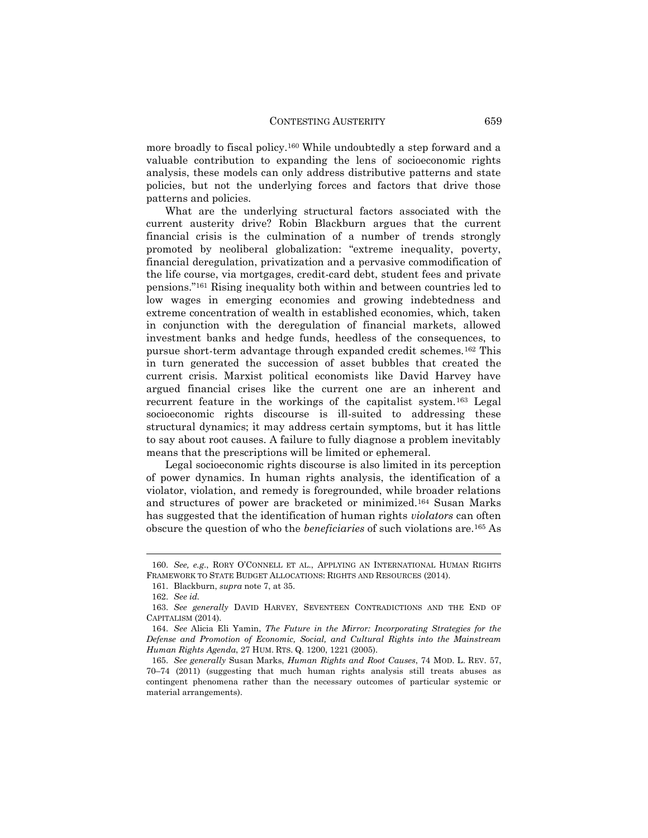more broadly to fiscal policy.<sup>160</sup> While undoubtedly a step forward and a valuable contribution to expanding the lens of socioeconomic rights analysis, these models can only address distributive patterns and state policies, but not the underlying forces and factors that drive those patterns and policies.

What are the underlying structural factors associated with the current austerity drive? Robin Blackburn argues that the current financial crisis is the culmination of a number of trends strongly promoted by neoliberal globalization: "extreme inequality, poverty, financial deregulation, privatization and a pervasive commodification of the life course, via mortgages, credit-card debt, student fees and private pensions."<sup>161</sup> Rising inequality both within and between countries led to low wages in emerging economies and growing indebtedness and extreme concentration of wealth in established economies, which, taken in conjunction with the deregulation of financial markets, allowed investment banks and hedge funds, heedless of the consequences, to pursue short-term advantage through expanded credit schemes.<sup>162</sup> This in turn generated the succession of asset bubbles that created the current crisis. Marxist political economists like David Harvey have argued financial crises like the current one are an inherent and recurrent feature in the workings of the capitalist system.<sup>163</sup> Legal socioeconomic rights discourse is ill-suited to addressing these structural dynamics; it may address certain symptoms, but it has little to say about root causes. A failure to fully diagnose a problem inevitably means that the prescriptions will be limited or ephemeral.

Legal socioeconomic rights discourse is also limited in its perception of power dynamics. In human rights analysis, the identification of a violator, violation, and remedy is foregrounded, while broader relations and structures of power are bracketed or minimized.<sup>164</sup> Susan Marks has suggested that the identification of human rights *violators* can often obscure the question of who the *beneficiaries* of such violations are.<sup>165</sup> As

<sup>160.</sup> *See, e.g*., RORY O'CONNELL ET AL., APPLYING AN INTERNATIONAL HUMAN RIGHTS FRAMEWORK TO STATE BUDGET ALLOCATIONS: RIGHTS AND RESOURCES (2014).

<sup>161.</sup> Blackburn, *supra* note 7, at 35.

<sup>162.</sup> *See id.*

<sup>163.</sup> *See generally* DAVID HARVEY, SEVENTEEN CONTRADICTIONS AND THE END OF CAPITALISM (2014).

<sup>164.</sup> *See* Alicia Eli Yamin, *The Future in the Mirror: Incorporating Strategies for the Defense and Promotion of Economic, Social, and Cultural Rights into the Mainstream Human Rights Agenda*, 27 HUM. RTS. Q. 1200, 1221 (2005).

<sup>165.</sup> *See generally* Susan Marks, *Human Rights and Root Causes*, 74 MOD. L. REV. 57, 70–74 (2011) (suggesting that much human rights analysis still treats abuses as contingent phenomena rather than the necessary outcomes of particular systemic or material arrangements).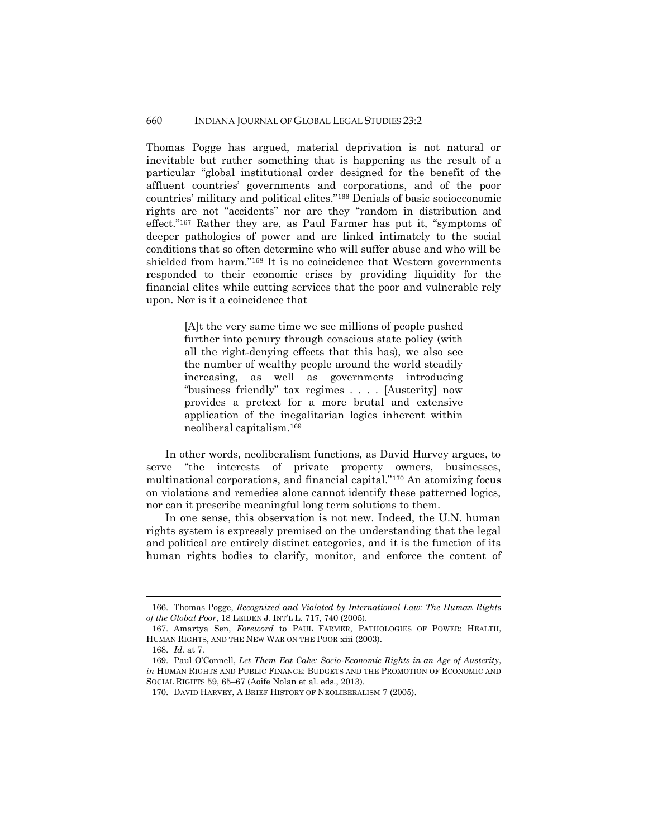#### 660 INDIANA JOURNAL OF GLOBAL LEGAL STUDIES 23:2

Thomas Pogge has argued, material deprivation is not natural or inevitable but rather something that is happening as the result of a particular "global institutional order designed for the benefit of the affluent countries' governments and corporations, and of the poor countries' military and political elites."<sup>166</sup> Denials of basic socioeconomic rights are not "accidents" nor are they "random in distribution and effect."<sup>167</sup> Rather they are, as Paul Farmer has put it, "symptoms of deeper pathologies of power and are linked intimately to the social conditions that so often determine who will suffer abuse and who will be shielded from harm."<sup>168</sup> It is no coincidence that Western governments responded to their economic crises by providing liquidity for the financial elites while cutting services that the poor and vulnerable rely upon. Nor is it a coincidence that

> [A]t the very same time we see millions of people pushed further into penury through conscious state policy (with all the right-denying effects that this has), we also see the number of wealthy people around the world steadily increasing, as well as governments introducing "business friendly" tax regimes . . . . [Austerity] now provides a pretext for a more brutal and extensive application of the inegalitarian logics inherent within neoliberal capitalism.<sup>169</sup>

In other words, neoliberalism functions, as David Harvey argues, to serve "the interests of private property owners, businesses, multinational corporations, and financial capital."<sup>170</sup> An atomizing focus on violations and remedies alone cannot identify these patterned logics, nor can it prescribe meaningful long term solutions to them.

In one sense, this observation is not new. Indeed, the U.N. human rights system is expressly premised on the understanding that the legal and political are entirely distinct categories, and it is the function of its human rights bodies to clarify, monitor, and enforce the content of

<sup>166.</sup> Thomas Pogge, *Recognized and Violated by International Law: The Human Rights of the Global Poor*, 18 LEIDEN J. INT'L L. 717, 740 (2005).

<sup>167.</sup> Amartya Sen, *Foreword* to PAUL FARMER, PATHOLOGIES OF POWER: HEALTH, HUMAN RIGHTS, AND THE NEW WAR ON THE POOR xiii (2003).

<sup>168.</sup> *Id.* at 7.

<sup>169.</sup> Paul O'Connell, *Let Them Eat Cake: Socio-Economic Rights in an Age of Austerity*, *in* HUMAN RIGHTS AND PUBLIC FINANCE: BUDGETS AND THE PROMOTION OF ECONOMIC AND SOCIAL RIGHTS 59, 65–67 (Aoife Nolan et al. eds., 2013).

<sup>170.</sup> DAVID HARVEY, A BRIEF HISTORY OF NEOLIBERALISM 7 (2005).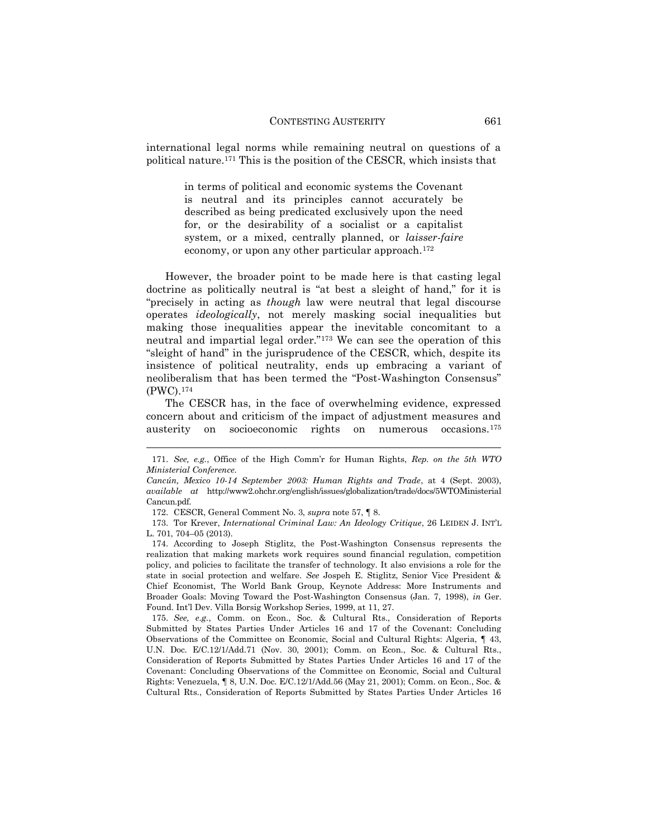international legal norms while remaining neutral on questions of a political nature.<sup>171</sup> This is the position of the CESCR, which insists that

> in terms of political and economic systems the Covenant is neutral and its principles cannot accurately be described as being predicated exclusively upon the need for, or the desirability of a socialist or a capitalist system, or a mixed, centrally planned, or *laisser-faire* economy, or upon any other particular approach.<sup>172</sup>

However, the broader point to be made here is that casting legal doctrine as politically neutral is "at best a sleight of hand," for it is "precisely in acting as *though* law were neutral that legal discourse operates *ideologically*, not merely masking social inequalities but making those inequalities appear the inevitable concomitant to a neutral and impartial legal order."<sup>173</sup> We can see the operation of this "sleight of hand" in the jurisprudence of the CESCR, which, despite its insistence of political neutrality, ends up embracing a variant of neoliberalism that has been termed the "Post-Washington Consensus" (PWC).<sup>174</sup>

The CESCR has, in the face of overwhelming evidence, expressed concern about and criticism of the impact of adjustment measures and austerity on socioeconomic rights on numerous occasions.<sup>175</sup>

 $\overline{a}$ 

175. *See, e.g.*, Comm. on Econ., Soc. & Cultural Rts., Consideration of Reports Submitted by States Parties Under Articles 16 and 17 of the Covenant: Concluding Observations of the Committee on Economic, Social and Cultural Rights: Algeria, ¶ 43, U.N. Doc. E/C.12/1/Add.71 (Nov. 30, 2001); Comm. on Econ., Soc. & Cultural Rts., Consideration of Reports Submitted by States Parties Under Articles 16 and 17 of the Covenant: Concluding Observations of the Committee on Economic, Social and Cultural Rights: Venezuela, ¶ 8, U.N. Doc. E/C.12/1/Add.56 (May 21, 2001); Comm. on Econ., Soc. & Cultural Rts., Consideration of Reports Submitted by States Parties Under Articles 16

<sup>171.</sup> *See, e.g.*, Office of the High Comm'r for Human Rights, *Rep. on the 5th WTO Ministerial Conference.*

*Cancún, Mexico 10-14 September 2003: Human Rights and Trade*, at 4 (Sept. 2003), *available at* http://www2.ohchr.org/english/issues/globalization/trade/docs/5WTOMinisterial Cancun.pdf.

<sup>172.</sup> CESCR, General Comment No. 3, *supra* note 57, ¶ 8.

<sup>173.</sup> Tor Krever, *International Criminal Law: An Ideology Critique*, 26 LEIDEN J. INT'L L. 701, 704–05 (2013).

<sup>174.</sup> According to Joseph Stiglitz, the Post-Washington Consensus represents the realization that making markets work requires sound financial regulation, competition policy, and policies to facilitate the transfer of technology. It also envisions a role for the state in social protection and welfare. *See* Jospeh E. Stiglitz, Senior Vice President & Chief Economist, The World Bank Group, Keynote Address: More Instruments and Broader Goals: Moving Toward the Post-Washington Consensus (Jan. 7, 1998), *in* Ger. Found. Int'l Dev. Villa Borsig Workshop Series, 1999, at 11, 27.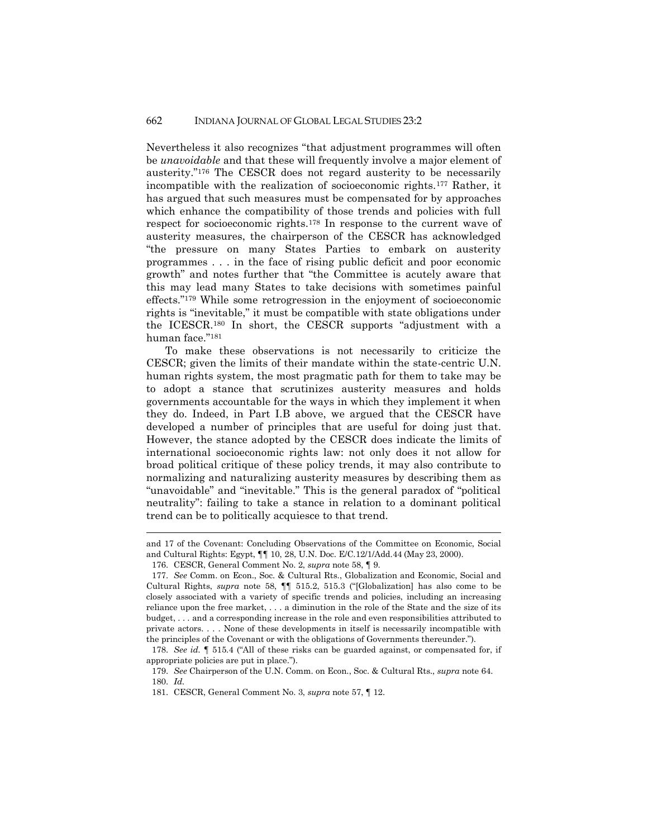Nevertheless it also recognizes "that adjustment programmes will often be *unavoidable* and that these will frequently involve a major element of austerity."<sup>176</sup> The CESCR does not regard austerity to be necessarily incompatible with the realization of socioeconomic rights.<sup>177</sup> Rather, it has argued that such measures must be compensated for by approaches which enhance the compatibility of those trends and policies with full respect for socioeconomic rights.<sup>178</sup> In response to the current wave of austerity measures, the chairperson of the CESCR has acknowledged "the pressure on many States Parties to embark on austerity programmes . . . in the face of rising public deficit and poor economic growth" and notes further that "the Committee is acutely aware that this may lead many States to take decisions with sometimes painful effects."<sup>179</sup> While some retrogression in the enjoyment of socioeconomic rights is "inevitable," it must be compatible with state obligations under the ICESCR.<sup>180</sup> In short, the CESCR supports "adjustment with a human face."<sup>181</sup>

To make these observations is not necessarily to criticize the CESCR; given the limits of their mandate within the state-centric U.N. human rights system, the most pragmatic path for them to take may be to adopt a stance that scrutinizes austerity measures and holds governments accountable for the ways in which they implement it when they do. Indeed, in Part I.B above, we argued that the CESCR have developed a number of principles that are useful for doing just that. However, the stance adopted by the CESCR does indicate the limits of international socioeconomic rights law: not only does it not allow for broad political critique of these policy trends, it may also contribute to normalizing and naturalizing austerity measures by describing them as "unavoidable" and "inevitable." This is the general paradox of "political neutrality": failing to take a stance in relation to a dominant political trend can be to politically acquiesce to that trend.

and 17 of the Covenant: Concluding Observations of the Committee on Economic, Social and Cultural Rights: Egypt, ¶¶ 10, 28, U.N. Doc. E/C.12/1/Add.44 (May 23, 2000).

<sup>176.</sup> CESCR, General Comment No. 2, *supra* note 58, ¶ 9.

<sup>177.</sup> *See* Comm. on Econ., Soc. & Cultural Rts., Globalization and Economic, Social and Cultural Rights, *supra* note 58, ¶¶ 515.2, 515.3 ("[Globalization] has also come to be closely associated with a variety of specific trends and policies, including an increasing reliance upon the free market, . . . a diminution in the role of the State and the size of its budget, . . . and a corresponding increase in the role and even responsibilities attributed to private actors. . . . None of these developments in itself is necessarily incompatible with the principles of the Covenant or with the obligations of Governments thereunder.").

<sup>178.</sup> *See id.* ¶ 515.4 ("All of these risks can be guarded against, or compensated for, if appropriate policies are put in place.").

<sup>179.</sup> *See* Chairperson of the U.N. Comm. on Econ., Soc. & Cultural Rts., *supra* note 64. 180. *Id.*

<sup>181.</sup> CESCR, General Comment No. 3, *supra* note 57, ¶ 12.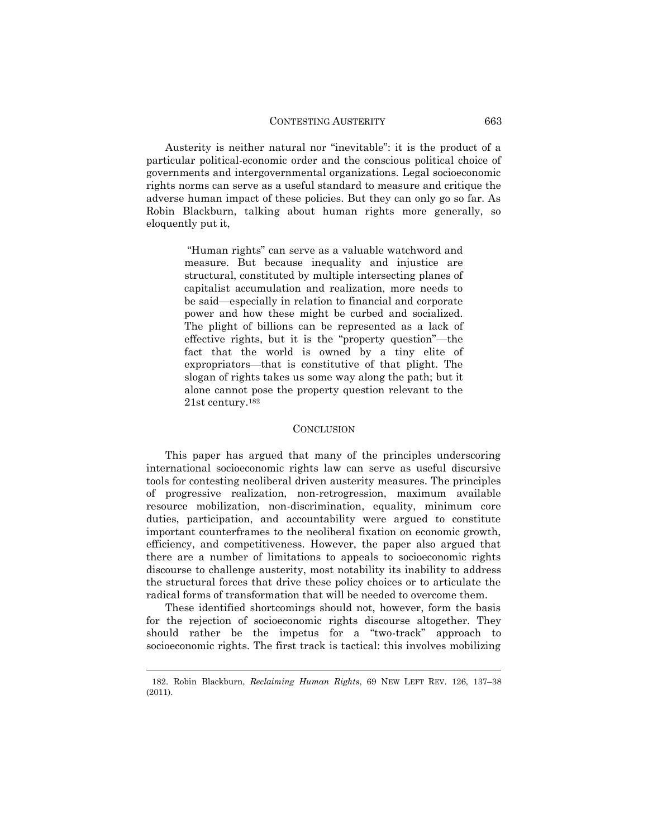Austerity is neither natural nor "inevitable": it is the product of a particular political-economic order and the conscious political choice of governments and intergovernmental organizations. Legal socioeconomic rights norms can serve as a useful standard to measure and critique the adverse human impact of these policies. But they can only go so far. As Robin Blackburn, talking about human rights more generally, so eloquently put it,

> "Human rights" can serve as a valuable watchword and measure. But because inequality and injustice are structural, constituted by multiple intersecting planes of capitalist accumulation and realization, more needs to be said—especially in relation to financial and corporate power and how these might be curbed and socialized. The plight of billions can be represented as a lack of effective rights, but it is the "property question"—the fact that the world is owned by a tiny elite of expropriators—that is constitutive of that plight. The slogan of rights takes us some way along the path; but it alone cannot pose the property question relevant to the 21st century.<sup>182</sup>

#### **CONCLUSION**

This paper has argued that many of the principles underscoring international socioeconomic rights law can serve as useful discursive tools for contesting neoliberal driven austerity measures. The principles of progressive realization, non-retrogression, maximum available resource mobilization, non-discrimination, equality, minimum core duties, participation, and accountability were argued to constitute important counterframes to the neoliberal fixation on economic growth, efficiency, and competitiveness. However, the paper also argued that there are a number of limitations to appeals to socioeconomic rights discourse to challenge austerity, most notability its inability to address the structural forces that drive these policy choices or to articulate the radical forms of transformation that will be needed to overcome them.

These identified shortcomings should not, however, form the basis for the rejection of socioeconomic rights discourse altogether. They should rather be the impetus for a "two-track" approach to socioeconomic rights. The first track is tactical: this involves mobilizing

<sup>182.</sup> Robin Blackburn, *Reclaiming Human Rights*, 69 NEW LEFT REV. 126, 137–38 (2011).